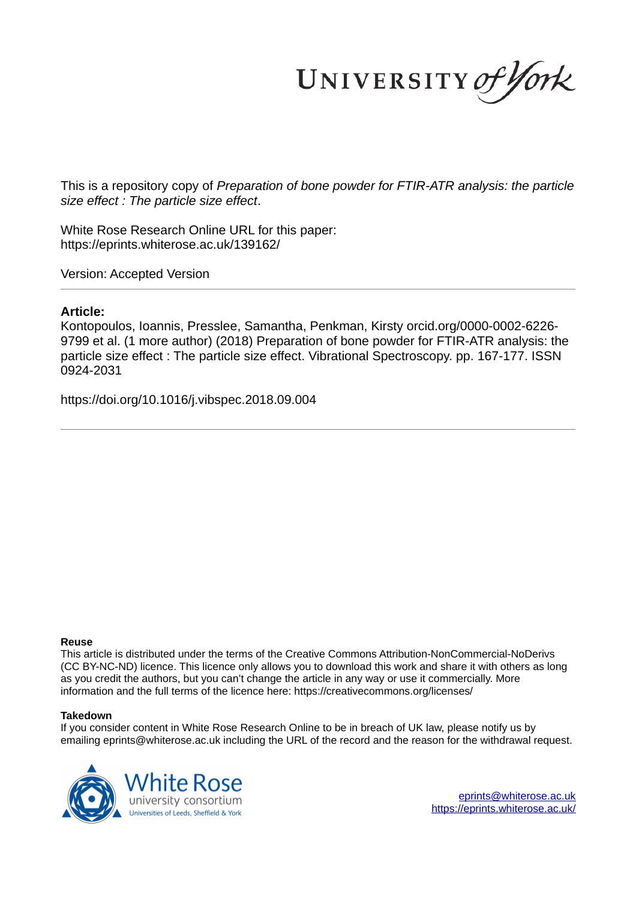UNIVERSITY of York

This is a repository copy of *Preparation of bone powder for FTIR-ATR analysis: the particle size effect : The particle size effect*.

White Rose Research Online URL for this paper: https://eprints.whiterose.ac.uk/139162/

Version: Accepted Version

#### **Article:**

Kontopoulos, Ioannis, Presslee, Samantha, Penkman, Kirsty orcid.org/0000-0002-6226- 9799 et al. (1 more author) (2018) Preparation of bone powder for FTIR-ATR analysis: the particle size effect : The particle size effect. Vibrational Spectroscopy. pp. 167-177. ISSN 0924-2031

https://doi.org/10.1016/j.vibspec.2018.09.004

#### **Reuse**

This article is distributed under the terms of the Creative Commons Attribution-NonCommercial-NoDerivs (CC BY-NC-ND) licence. This licence only allows you to download this work and share it with others as long as you credit the authors, but you can't change the article in any way or use it commercially. More information and the full terms of the licence here: https://creativecommons.org/licenses/

#### **Takedown**

If you consider content in White Rose Research Online to be in breach of UK law, please notify us by emailing eprints@whiterose.ac.uk including the URL of the record and the reason for the withdrawal request.



eprints@whiterose.ac.uk https://eprints.whiterose.ac.uk/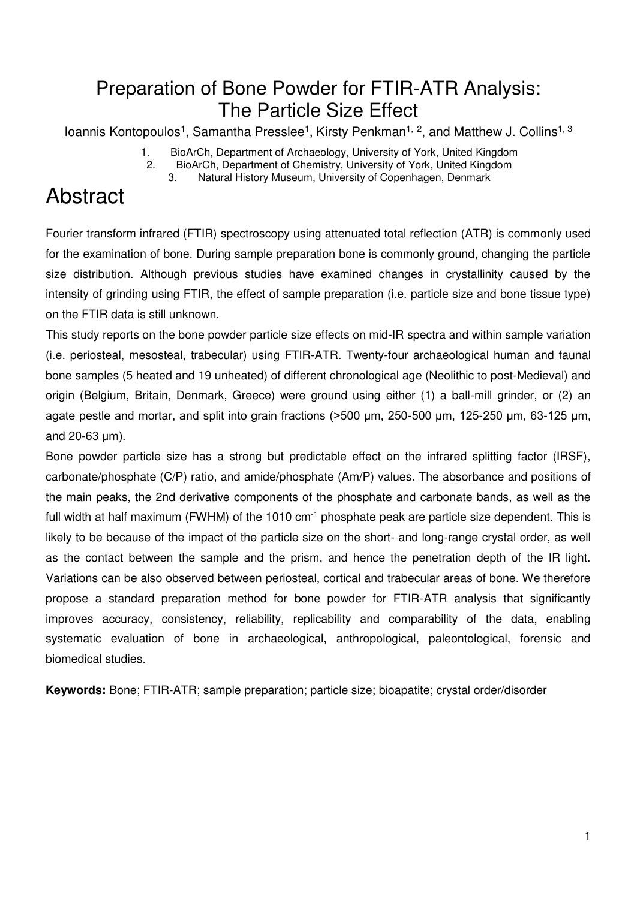## Preparation of Bone Powder for FTIR-ATR Analysis: The Particle Size Effect

loannis Kontopoulos<sup>1</sup>, Samantha Presslee<sup>1</sup>, Kirsty Penkman<sup>1, 2</sup>, and Matthew J. Collins<sup>1, 3</sup>

1. BioArCh, Department of Archaeology, University of York, United Kingdom

2. BioArCh, Department of Chemistry, University of York, United Kingdom<br>3. Natural History Museum, University of Copenhagen, Denmark

Natural History Museum, University of Copenhagen, Denmark

# Abstract

Fourier transform infrared (FTIR) spectroscopy using attenuated total reflection (ATR) is commonly used for the examination of bone. During sample preparation bone is commonly ground, changing the particle size distribution. Although previous studies have examined changes in crystallinity caused by the intensity of grinding using FTIR, the effect of sample preparation (i.e. particle size and bone tissue type) on the FTIR data is still unknown.

This study reports on the bone powder particle size effects on mid-IR spectra and within sample variation (i.e. periosteal, mesosteal, trabecular) using FTIR-ATR. Twenty-four archaeological human and faunal bone samples (5 heated and 19 unheated) of different chronological age (Neolithic to post-Medieval) and origin (Belgium, Britain, Denmark, Greece) were ground using either (1) a ball-mill grinder, or (2) an agate pestle and mortar, and split into grain fractions (>500 μm, 250-500 μm, 125-250 μm, 63-125 μm, and 20-63 μm).

Bone powder particle size has a strong but predictable effect on the infrared splitting factor (IRSF), carbonate/phosphate (C/P) ratio, and amide/phosphate (Am/P) values. The absorbance and positions of the main peaks, the 2nd derivative components of the phosphate and carbonate bands, as well as the full width at half maximum (FWHM) of the 1010  $cm^{-1}$  phosphate peak are particle size dependent. This is likely to be because of the impact of the particle size on the short- and long-range crystal order, as well as the contact between the sample and the prism, and hence the penetration depth of the IR light. Variations can be also observed between periosteal, cortical and trabecular areas of bone. We therefore propose a standard preparation method for bone powder for FTIR-ATR analysis that significantly improves accuracy, consistency, reliability, replicability and comparability of the data, enabling systematic evaluation of bone in archaeological, anthropological, paleontological, forensic and biomedical studies.

**Keywords:** Bone; FTIR-ATR; sample preparation; particle size; bioapatite; crystal order/disorder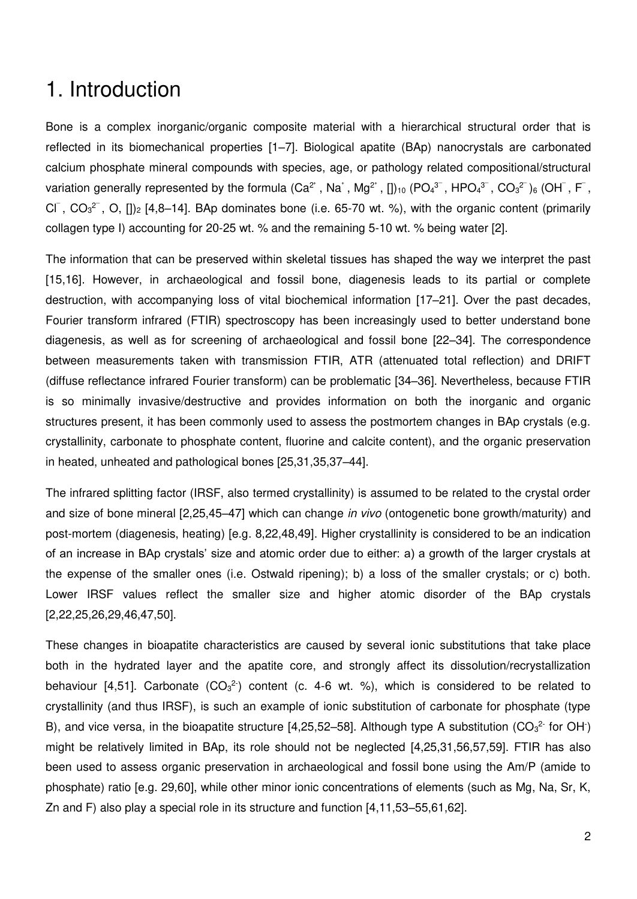## 1. Introduction

Bone is a complex inorganic/organic composite material with a hierarchical structural order that is reflected in its biomechanical properties [\[1](https://paperpile.com/c/bZhAIZ/oNSE+BuUf+XJ71+Ry2E+qzpZ+ulUS+LVeg)–7]. Biological apatite (BAp) nanocrystals are carbonated calcium phosphate mineral compounds with species, age, or pathology related compositional/structural variation generally represented by the formula (Ca<sup>2+</sup>, Na<sup>+</sup>, Mg<sup>2+</sup>, [])<sub>10</sub> (PO<sub>4</sub><sup>3-</sup>, HPO<sub>4</sub><sup>3</sub><sup>-</sup>, CO<sub>3</sub><sup>2<sup>-</sup>)<sub>6</sub> (OH<sup>-</sup>, F<sup>-</sup>,</sup></sup> CI<sup>-</sup>, CO<sub>3</sub><sup>2</sub>-</sup>, O, [])<sub>2</sub> [\[4,8](https://paperpile.com/c/bZhAIZ/eMSP+Lo1P+Ry2E+QOmT+02T6+NBVC+WdUQ+nWjw)–14]. BAp dominates bone (i.e. 65-70 wt. %), with the organic content (primarily collagen type I) accounting for 20-25 wt. % and the remaining 5-10 wt. % being water [\[2\].](https://paperpile.com/c/bZhAIZ/BuUf)

The information that can be preserved within skeletal tissues has shaped the way we interpret the past [\[15,16\].](https://paperpile.com/c/bZhAIZ/Ll0M+a15R) However, in archaeological and fossil bone, diagenesis leads to its partial or complete destruction, with accompanying loss of vital biochemical information [\[17](https://paperpile.com/c/bZhAIZ/RspA+v0gP+fuJM+HysB+oEho)–21]. Over the past decades, Fourier transform infrared (FTIR) spectroscopy has been increasingly used to better understand bone diagenesis, as well as for screening of archaeological and fossil bone [22–[34\].](https://paperpile.com/c/bZhAIZ/hK8Q+ktJY+py6B+BiPN+7a1H+4pYY+iRY8+l8cT+51vU+CgtB+9Bja+Ytvd+rjTu) The correspondence between measurements taken with transmission FTIR, ATR (attenuated total reflection) and DRIFT (diffuse reflectance infrared Fourier transform) can be problematic [\[34](https://paperpile.com/c/bZhAIZ/1QDh+rjTu+vSUU)–36]. Nevertheless, because FTIR is so minimally invasive/destructive and provides information on both the inorganic and organic structures present, it has been commonly used to assess the postmortem changes in BAp crystals (e.g. crystallinity, carbonate to phosphate content, fluorine and calcite content), and the organic preservation in heated, unheated and pathological bones [\[25,31,35,37](https://paperpile.com/c/bZhAIZ/Vxef+BiPN+uwiw+UqiP+CgtB+IhlJ+1QDh+sK4V+zEmW+wwaN+MNLU)–44].

The infrared splitting factor (IRSF, also termed crystallinity) is assumed to be related to the crystal order and size of bone mineral [\[2,25,45](https://paperpile.com/c/bZhAIZ/jMPH+BiPN+BuUf+bGxf+0UZw/?noauthor=0,0,0,0,1)–47] which can change in vivo (ontogenetic bone growth/maturity) and post-mortem (diagenesis, heating) [\[e.g. 8,22,48,49\].](https://paperpile.com/c/bZhAIZ/qn94+wQqO+eMSP+hK8Q/?prefix=,,e.g.,) Higher crystallinity is considered to be an indication of an increase in BAp crystals' size and atomic order due to either: a) a growth of the larger crystals at the expense of the smaller ones (i.e. Ostwald ripening); b) a loss of the smaller crystals; or c) both. Lower IRSF values reflect the smaller size and higher atomic disorder of the BAp crystals [\[2,22,25,26,29,46,47,50\].](https://paperpile.com/c/bZhAIZ/hK8Q+BiPN+BuUf+7a1H+l8cT+0UZw+bGxf+PSYz/?noauthor=0,0,0,0,0,0,1,0)

These changes in bioapatite characteristics are caused by several ionic substitutions that take place both in the hydrated layer and the apatite core, and strongly affect its dissolution/recrystallization behaviour [\[4,51\].](https://paperpile.com/c/bZhAIZ/5opm+Ry2E) Carbonate  $(CO_3^2)$  content (c. 4-6 wt. %), which is considered to be related to crystallinity (and thus IRSF), is such an example of ionic substitution of carbonate for phosphate (type B), and vice versa, in the bioapatite structure [\[4,25,52](https://paperpile.com/c/bZhAIZ/hFyQ+od1g+UceX+p4Ru+XaAv+qPbV+BiPN+KOo1+Ry2E)–58]. Although type A substitution (CO<sub>3</sub><sup>2</sup> for OH) might be relatively limited in BAp, its role should not be neglected [\[4,25,31,56,57,59\].](https://paperpile.com/c/bZhAIZ/XaAv+qPbV+BiPN+GXTi+Ry2E+CgtB) FTIR has also been used to assess organic preservation in archaeological and fossil bone using the Am/P (amide to phosphate) ratio [\[e.g. 29,60\],](https://paperpile.com/c/bZhAIZ/l8cT+IqyY/?prefix=e.g.,) while other minor ionic concentrations of elements (such as Mg, Na, Sr, K, Zn and F) also play a special role in its structure and function [4,11,53–[55,61,62\].](https://paperpile.com/c/bZhAIZ/od1g+UceX+p4Ru+Ry2E+rLej+02T6+Ciob)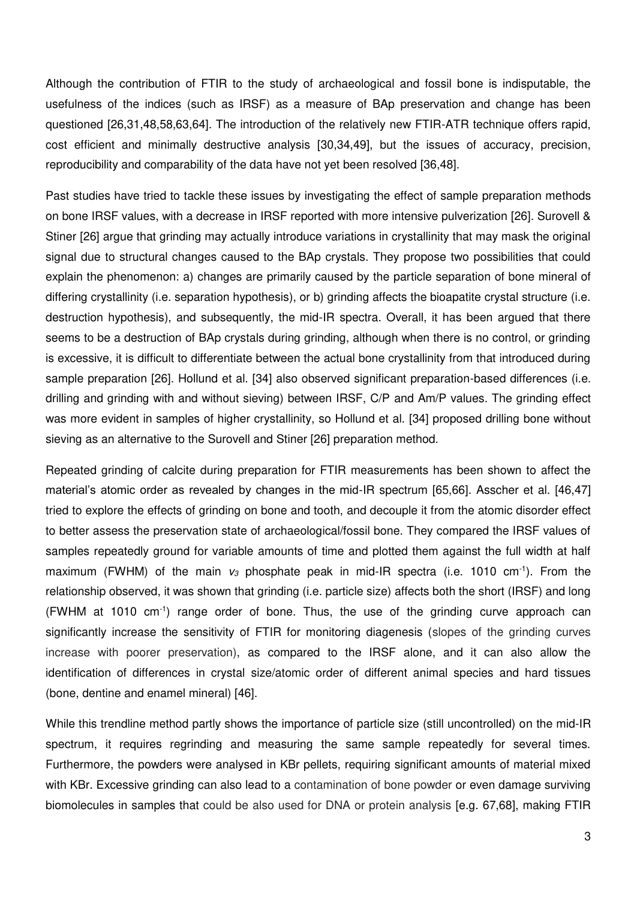Although the contribution of FTIR to the study of archaeological and fossil bone is indisputable, the usefulness of the indices (such as IRSF) as a measure of BAp preservation and change has been questioned [\[26,31,48,58,63,64\].](https://paperpile.com/c/bZhAIZ/7a1H+KOo1+CgtB+pmHE+qn94+NxFo) The introduction of the relatively new FTIR-ATR technique offers rapid, cost efficient and minimally destructive analysis [\[30,34,49\],](https://paperpile.com/c/bZhAIZ/rjTu+wQqO+51vU) but the issues of accuracy, precision, reproducibility and comparability of the data have not yet been resolved [\[36,48\].](https://paperpile.com/c/bZhAIZ/vSUU+qn94)

Past studies have tried to tackle these issues by investigating the effect of sample preparation methods on bone IRSF values, with a decrease in IRSF reported with more intensive pulverization [\[26\].](https://paperpile.com/c/bZhAIZ/7a1H) Surovell & Stiner [\[26\]](https://paperpile.com/c/bZhAIZ/7a1H/?noauthor=1) argue that grinding may actually introduce variations in crystallinity that may mask the original signal due to structural changes caused to the BAp crystals. They propose two possibilities that could explain the phenomenon: a) changes are primarily caused by the particle separation of bone mineral of differing crystallinity (i.e. separation hypothesis), or b) grinding affects the bioapatite crystal structure (i.e. destruction hypothesis), and subsequently, the mid-IR spectra. Overall, it has been argued that there seems to be a destruction of BAp crystals during grinding, although when there is no control, or grinding is excessive, it is difficult to differentiate between the actual bone crystallinity from that introduced during sample preparation [\[26\].](https://paperpile.com/c/bZhAIZ/7a1H) Hollund et al. [\[34\]](https://paperpile.com/c/bZhAIZ/rjTu/?noauthor=1) also observed significant preparation-based differences (i.e. drilling and grinding with and without sieving) between IRSF, C/P and Am/P values. The grinding effect was more evident in samples of higher crystallinity, so Hollund et al. [\[34\]](https://paperpile.com/c/bZhAIZ/rjTu/?noauthor=1) proposed drilling bone without sieving as an alternative to the Surovell and Stiner [\[26\]](https://paperpile.com/c/bZhAIZ/7a1H/?noauthor=1) preparation method.

Repeated grinding of calcite during preparation for FTIR measurements has been shown to affect the material's atomic order as revealed by changes in the mid-IR spectrum [\[65,66\].](https://paperpile.com/c/bZhAIZ/FoYA+wrOW) Asscher et al. [\[46,47\]](https://paperpile.com/c/bZhAIZ/0UZw+bGxf/?noauthor=1,1)  tried to explore the effects of grinding on bone and tooth, and decouple it from the atomic disorder effect to better assess the preservation state of archaeological/fossil bone. They compared the IRSF values of samples repeatedly ground for variable amounts of time and plotted them against the full width at half maximum (FWHM) of the main  $v_3$  phosphate peak in mid-IR spectra (i.e. 1010 cm<sup>-1</sup>). From the relationship observed, it was shown that grinding (i.e. particle size) affects both the short (IRSF) and long (FWHM at 1010 cm-1) range order of bone. Thus, the use of the grinding curve approach can significantly increase the sensitivity of FTIR for monitoring diagenesis (slopes of the grinding curves increase with poorer preservation), as compared to the IRSF alone, and it can also allow the identification of differences in crystal size/atomic order of different animal species and hard tissues (bone, dentine and enamel mineral) [\[46\].](https://paperpile.com/c/bZhAIZ/bGxf)

While this trendline method partly shows the importance of particle size (still uncontrolled) on the mid-IR spectrum, it requires regrinding and measuring the same sample repeatedly for several times. Furthermore, the powders were analysed in KBr pellets, requiring significant amounts of material mixed with KBr. Excessive grinding can also lead to a contamination of bone powder or even damage surviving biomolecules in samples that could be also used for DNA or protein analysis [\[e.g. 67,68\],](https://paperpile.com/c/bZhAIZ/PBor+AxJx/?prefix=e.g.,) making FTIR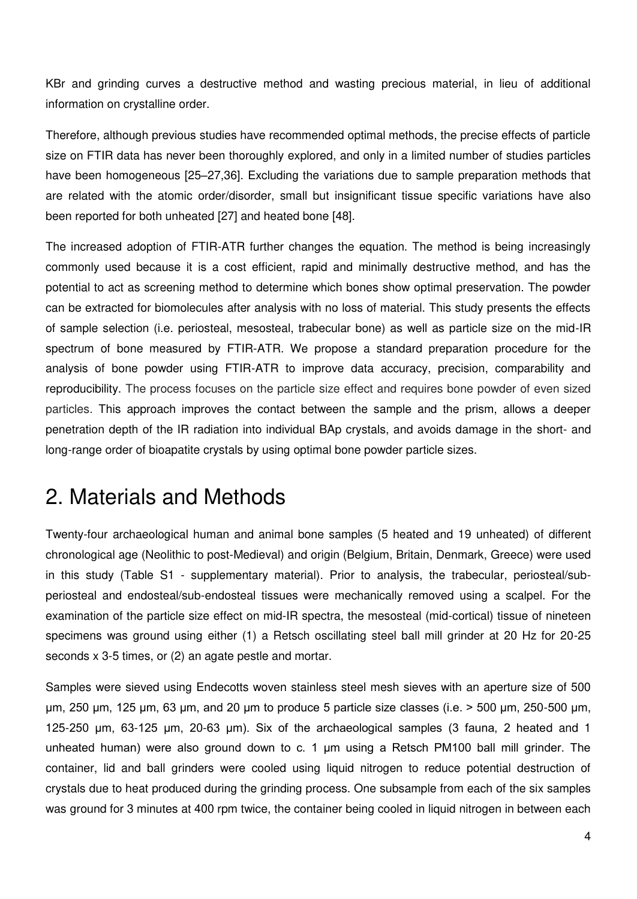KBr and grinding curves a destructive method and wasting precious material, in lieu of additional information on crystalline order.

Therefore, although previous studies have recommended optimal methods, the precise effects of particle size on FTIR data has never been thoroughly explored, and only in a limited number of studies particles have been homogeneous [25–[27,36\].](https://paperpile.com/c/bZhAIZ/BiPN+4pYY+7a1H+vSUU) Excluding the variations due to sample preparation methods that are related with the atomic order/disorder, small but insignificant tissue specific variations have also been reported for both unheated [\[27\]](https://paperpile.com/c/bZhAIZ/4pYY) and heated bone [\[48\].](https://paperpile.com/c/bZhAIZ/qn94)

The increased adoption of FTIR-ATR further changes the equation. The method is being increasingly commonly used because it is a cost efficient, rapid and minimally destructive method, and has the potential to act as screening method to determine which bones show optimal preservation. The powder can be extracted for biomolecules after analysis with no loss of material. This study presents the effects of sample selection (i.e. periosteal, mesosteal, trabecular bone) as well as particle size on the mid-IR spectrum of bone measured by FTIR-ATR. We propose a standard preparation procedure for the analysis of bone powder using FTIR-ATR to improve data accuracy, precision, comparability and reproducibility. The process focuses on the particle size effect and requires bone powder of even sized particles. This approach improves the contact between the sample and the prism, allows a deeper penetration depth of the IR radiation into individual BAp crystals, and avoids damage in the short- and long-range order of bioapatite crystals by using optimal bone powder particle sizes.

## 2. Materials and Methods

Twenty-four archaeological human and animal bone samples (5 heated and 19 unheated) of different chronological age (Neolithic to post-Medieval) and origin (Belgium, Britain, Denmark, Greece) were used in this study (Table S1 - supplementary material). Prior to analysis, the trabecular, periosteal/subperiosteal and endosteal/sub-endosteal tissues were mechanically removed using a scalpel. For the examination of the particle size effect on mid-IR spectra, the mesosteal (mid-cortical) tissue of nineteen specimens was ground using either (1) a Retsch oscillating steel ball mill grinder at 20 Hz for 20-25 seconds x 3-5 times, or (2) an agate pestle and mortar.

Samples were sieved using Endecotts woven stainless steel mesh sieves with an aperture size of 500 μm, 250 μm, 125 μm, 63 μm, and 20 μm to produce 5 particle size classes (i.e. > 500 μm, 250-500 μm, 125-250 μm, 63-125 μm, 20-63 μm). Six of the archaeological samples (3 fauna, 2 heated and 1 unheated human) were also ground down to c. 1 μm using a Retsch PM100 ball mill grinder. The container, lid and ball grinders were cooled using liquid nitrogen to reduce potential destruction of crystals due to heat produced during the grinding process. One subsample from each of the six samples was ground for 3 minutes at 400 rpm twice, the container being cooled in liquid nitrogen in between each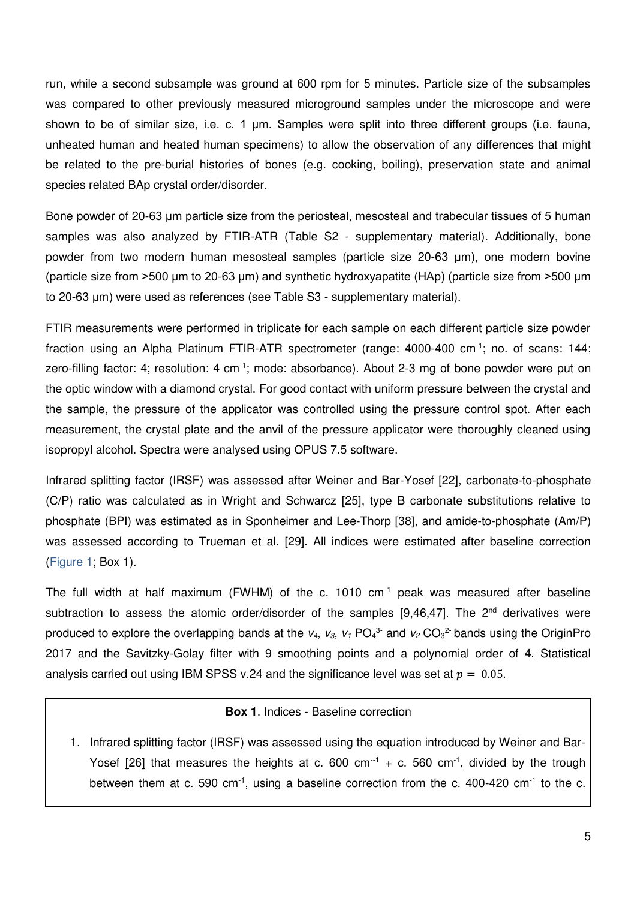run, while a second subsample was ground at 600 rpm for 5 minutes. Particle size of the subsamples was compared to other previously measured microground samples under the microscope and were shown to be of similar size, i.e. c. 1 μm. Samples were split into three different groups (i.e. fauna, unheated human and heated human specimens) to allow the observation of any differences that might be related to the pre-burial histories of bones (e.g. cooking, boiling), preservation state and animal species related BAp crystal order/disorder.

Bone powder of 20-63 μm particle size from the periosteal, mesosteal and trabecular tissues of 5 human samples was also analyzed by FTIR-ATR (Table S2 - supplementary material). Additionally, bone powder from two modern human mesosteal samples (particle size 20-63 μm), one modern bovine (particle size from >500 μm to 20-63 μm) and synthetic hydroxyapatite (HAp) (particle size from >500 μm to 20-63 μm) were used as references (see Table S3 - supplementary material).

FTIR measurements were performed in triplicate for each sample on each different particle size powder fraction using an Alpha Platinum FTIR-ATR spectrometer (range: 4000-400 cm-1; no. of scans: 144; zero-filling factor: 4; resolution: 4 cm<sup>-1</sup>; mode: absorbance). About 2-3 mg of bone powder were put on the optic window with a diamond crystal. For good contact with uniform pressure between the crystal and the sample, the pressure of the applicator was controlled using the pressure control spot. After each measurement, the crystal plate and the anvil of the pressure applicator were thoroughly cleaned using isopropyl alcohol. Spectra were analysed using OPUS 7.5 software.

Infrared splitting factor (IRSF) was assessed after Weiner and Bar-Yosef [\[22\],](https://paperpile.com/c/bZhAIZ/hK8Q/?noauthor=1) carbonate-to-phosphate (C/P) ratio was calculated as in Wright and Schwarcz [\[25\],](https://paperpile.com/c/bZhAIZ/BiPN/?noauthor=1) type B carbonate substitutions relative to phosphate (BPI) was estimated as in Sponheimer and Lee-Thorp [\[38\],](https://paperpile.com/c/bZhAIZ/uwiw/?noauthor=1) and amide-to-phosphate (Am/P) was assessed according to Trueman et al. [\[29\].](https://paperpile.com/c/bZhAIZ/l8cT/?noauthor=1) All indices were estimated after baseline correction [\(Figure 1;](#page-7-0) Box 1).

The full width at half maximum (FWHM) of the c. 1010 cm-1 peak was measured after baseline subtraction to assess the atomic order/disorder of the samples  $[9,46,47]$ . The  $2^{nd}$  derivatives were produced to explore the overlapping bands at the  $v_4$ ,  $v_3$ ,  $v_1$  PO<sub>4</sub><sup>3-</sup> and  $v_2$  CO<sub>3</sub><sup>2</sup> bands using the OriginPro 2017 and the Savitzky-Golay filter with 9 smoothing points and a polynomial order of 4. Statistical analysis carried out using IBM SPSS v.24 and the significance level was set at  $p = 0.05$ .

#### **Box 1**. Indices - Baseline correction

1. Infrared splitting factor (IRSF) was assessed using the equation introduced by Weiner and Bar-Yosef  $[26]$  that measures the heights at c. 600 cm<sup>-1</sup> + c. 560 cm<sup>-1</sup>, divided by the trough between them at c. 590 cm<sup>-1</sup>, using a baseline correction from the c. 400-420 cm<sup>-1</sup> to the c.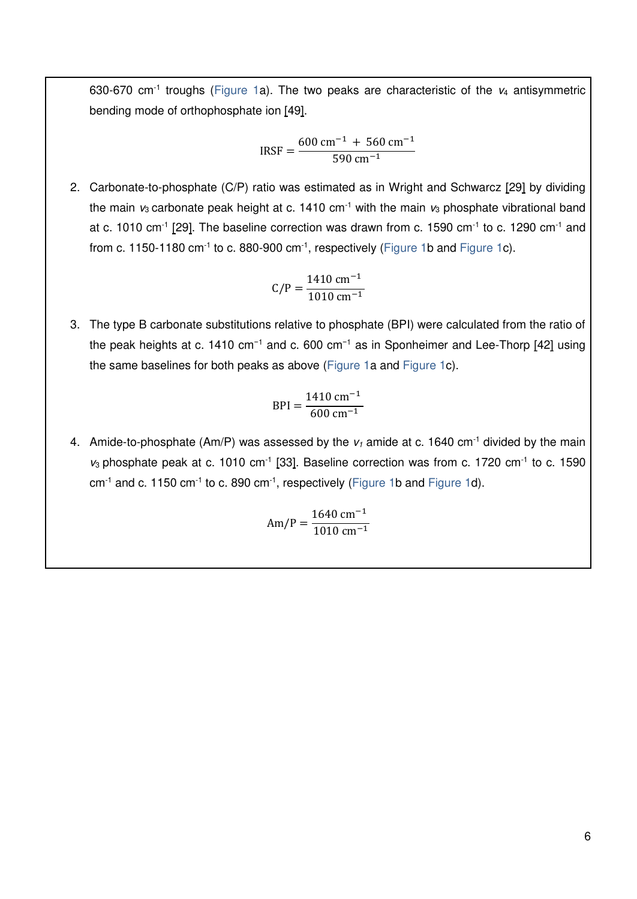630-670 cm<sup>-1</sup> troughs [\(Figure 1a](#page-7-0)). The two peaks are characteristic of the  $v_4$  antisymmetric bending mode of orthophosphate ion [\[49\].](https://paperpile.com/c/bZhAIZ/jMPH)

$$
IRSF = \frac{600 \text{ cm}^{-1} + 560 \text{ cm}^{-1}}{590 \text{ cm}^{-1}}
$$

2. Carbonate-to-phosphate (C/P) ratio was estimated as in Wright and Schwarcz [\[29\]](https://paperpile.com/c/bZhAIZ/BiPN/?noauthor=1) by dividing the main  $v_3$  carbonate peak height at c. 1410 cm<sup>-1</sup> with the main  $v_3$  phosphate vibrational band at c. 1010 cm<sup>-1</sup> [\[29\].](https://paperpile.com/c/bZhAIZ/BiPN) The baseline correction was drawn from c. 1590 cm<sup>-1</sup> to c. 1290 cm<sup>-1</sup> and from c. 1150-1180  $cm^{-1}$  to c. 880-900  $cm^{-1}$ , respectively [\(Figure 1b](#page-7-0) and [Figure 1c](#page-7-0)).

$$
C/P = \frac{1410 \text{ cm}^{-1}}{1010 \text{ cm}^{-1}}
$$

3. The type B carbonate substitutions relative to phosphate (BPI) were calculated from the ratio of the peak heights at c. 1410 cm<sup>-1</sup> and c. 600 cm<sup>-1</sup> as in Sponheimer and Lee-Thorp [\[42\]](https://paperpile.com/c/bZhAIZ/uwiw/?noauthor=1) using the same baselines for both peaks as above [\(Figure 1a](#page-7-0) and [Figure 1c](#page-7-0)).

$$
BPI = \frac{1410 \text{ cm}^{-1}}{600 \text{ cm}^{-1}}
$$

4. Amide-to-phosphate (Am/P) was assessed by the  $v_1$  amide at c. 1640 cm<sup>-1</sup> divided by the main  $v_3$  phosphate peak at c. 1010 cm<sup>-1</sup> [\[33\].](https://paperpile.com/c/bZhAIZ/l8cT) Baseline correction was from c. 1720 cm<sup>-1</sup> to c. 1590  $cm^{-1}$  and c. 1150 cm<sup>-1</sup> to c. 890 cm<sup>-1</sup>, respectively [\(Figure 1b](#page-7-0) and [Figure 1d](#page-7-0)).

$$
Am/P = \frac{1640 \text{ cm}^{-1}}{1010 \text{ cm}^{-1}}
$$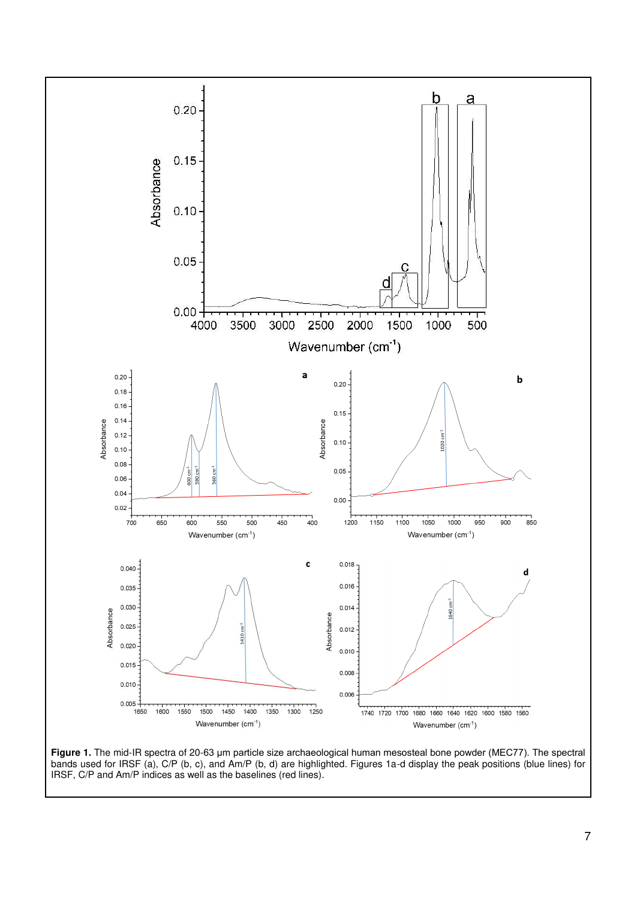

<span id="page-7-0"></span>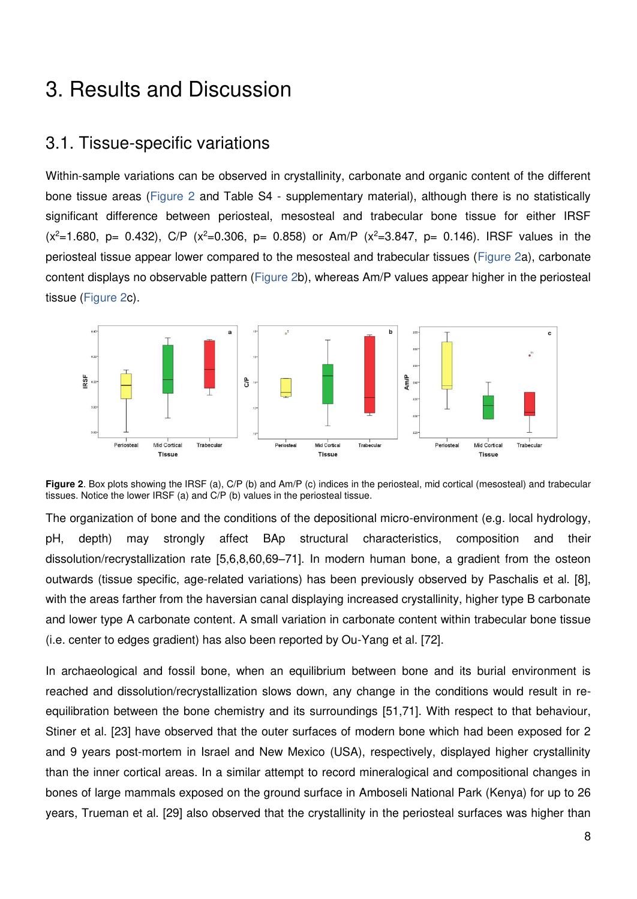## 3. Results and Discussion

### 3.1. Tissue-specific variations

Within-sample variations can be observed in crystallinity, carbonate and organic content of the different bone tissue areas [\(Figure 2](#page-8-0) and Table S4 - supplementary material), although there is no statistically significant difference between periosteal, mesosteal and trabecular bone tissue for either IRSF  $(x^2=1.680, p= 0.432)$ , C/P  $(x^2=0.306, p= 0.858)$  or Am/P  $(x^2=3.847, p= 0.146)$ . IRSF values in the periosteal tissue appear lower compared to the mesosteal and trabecular tissues [\(Figure 2a](#page-8-0)), carbonate content displays no observable pattern [\(Figure 2b](#page-8-0)), whereas Am/P values appear higher in the periosteal tissue [\(Figure 2c](#page-8-0)).



<span id="page-8-0"></span>**Figure 2.** Box plots showing the IRSF (a), C/P (b) and Am/P (c) indices in the periosteal, mid cortical (mesosteal) and trabecular tissues. Notice the lower IRSF (a) and C/P (b) values in the periosteal tissue.

The organization of bone and the conditions of the depositional micro-environment (e.g. local hydrology, pH, depth) may strongly affect BAp structural characteristics, composition and their dissolution/recrystallization rate [\[5,6,8,60,69](https://paperpile.com/c/bZhAIZ/nF3M+eMSP+qWbl+qzpZ+MsGz+ulUS+IqyY)–71]. In modern human bone, a gradient from the osteon outwards (tissue specific, age-related variations) has been previously observed by Paschalis et al. [\[8\],](https://paperpile.com/c/bZhAIZ/eMSP/?noauthor=1) with the areas farther from the haversian canal displaying increased crystallinity, higher type B carbonate and lower type A carbonate content. A small variation in carbonate content within trabecular bone tissue (i.e. center to edges gradient) has also been reported by Ou-Yang et al. [\[72\].](https://paperpile.com/c/bZhAIZ/ETt2/?noauthor=1)

In archaeological and fossil bone, when an equilibrium between bone and its burial environment is reached and dissolution/recrystallization slows down, any change in the conditions would result in reequilibration between the bone chemistry and its surroundings [\[51,71\].](https://paperpile.com/c/bZhAIZ/5opm+MsGz) With respect to that behaviour, Stiner et al. [\[23\]](https://paperpile.com/c/bZhAIZ/ktJY/?noauthor=1) have observed that the outer surfaces of modern bone which had been exposed for 2 and 9 years post-mortem in Israel and New Mexico (USA), respectively, displayed higher crystallinity than the inner cortical areas. In a similar attempt to record mineralogical and compositional changes in bones of large mammals exposed on the ground surface in Amboseli National Park (Kenya) for up to 26 years, Trueman et al. [\[29\]](https://paperpile.com/c/bZhAIZ/l8cT/?noauthor=1) also observed that the crystallinity in the periosteal surfaces was higher than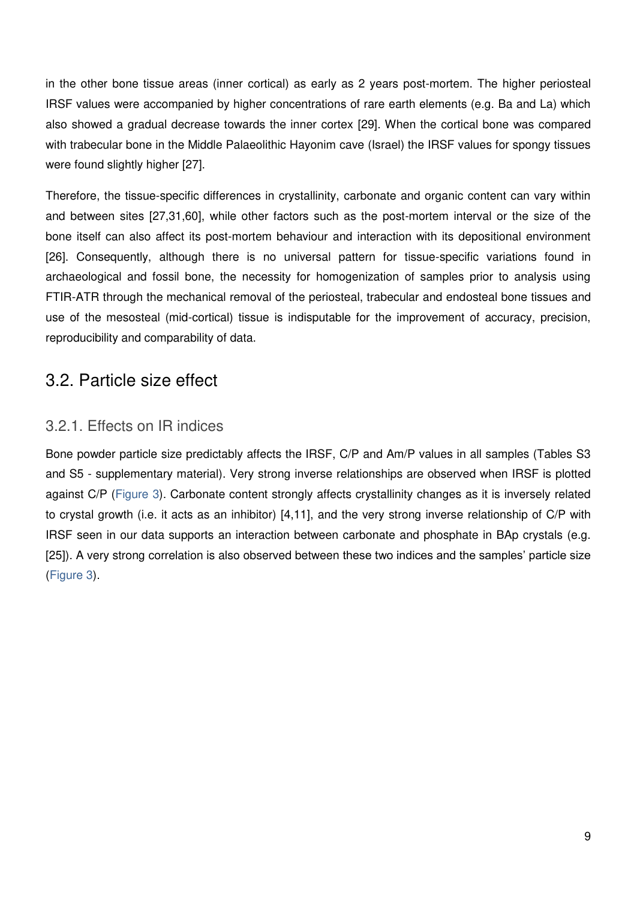in the other bone tissue areas (inner cortical) as early as 2 years post-mortem. The higher periosteal IRSF values were accompanied by higher concentrations of rare earth elements (e.g. Ba and La) which also showed a gradual decrease towards the inner cortex [\[29\].](https://paperpile.com/c/bZhAIZ/l8cT) When the cortical bone was compared with trabecular bone in the Middle Palaeolithic Hayonim cave (Israel) the IRSF values for spongy tissues were found slightly higher [\[27\].](https://paperpile.com/c/bZhAIZ/4pYY)

Therefore, the tissue-specific differences in crystallinity, carbonate and organic content can vary within and between sites [\[27,31,60\],](https://paperpile.com/c/bZhAIZ/4pYY+CgtB+IqyY) while other factors such as the post-mortem interval or the size of the bone itself can also affect its post-mortem behaviour and interaction with its depositional environment [\[26\].](https://paperpile.com/c/bZhAIZ/7a1H) Consequently, although there is no universal pattern for tissue-specific variations found in archaeological and fossil bone, the necessity for homogenization of samples prior to analysis using FTIR-ATR through the mechanical removal of the periosteal, trabecular and endosteal bone tissues and use of the mesosteal (mid-cortical) tissue is indisputable for the improvement of accuracy, precision, reproducibility and comparability of data.

## 3.2. Particle size effect

### 3.2.1. Effects on IR indices

Bone powder particle size predictably affects the IRSF, C/P and Am/P values in all samples (Tables S3 and S5 - supplementary material). Very strong inverse relationships are observed when IRSF is plotted against C/P [\(Figure 3\)](#page-10-0). Carbonate content strongly affects crystallinity changes as it is inversely related to crystal growth (i.e. it acts as an inhibitor) [\[4,11\],](https://paperpile.com/c/bZhAIZ/Ry2E+02T6) and the very strong inverse relationship of C/P with IRSF seen in our data supports an interaction between carbonate and phosphate in BAp crystals (e.g. [\[25\]\)](https://paperpile.com/c/bZhAIZ/BiPN). A very strong correlation is also observed between these two indices and the samples' particle size [\(Figure 3\)](#page-10-0).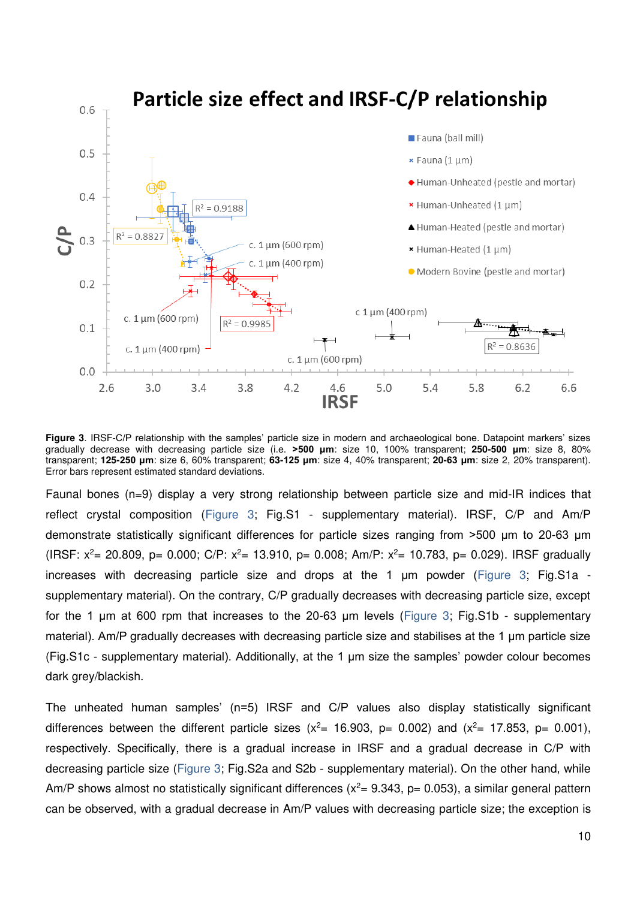

<span id="page-10-0"></span>**Figure 3**. IRSF-C/P relationship with the samples' particle size in modern and archaeological bone. Datapoint markers' sizes gradually decrease with decreasing particle size (i.e. **>500 μm**: size 10, 100% transparent; **250-500 μm**: size 8, 80% transparent; **125-250 μm**: size 6, 60% transparent; **63-125 μm**: size 4, 40% transparent; **20-63 μm**: size 2, 20% transparent). Error bars represent estimated standard deviations.

Faunal bones (n=9) display a very strong relationship between particle size and mid-IR indices that reflect crystal composition [\(Figure 3;](#page-10-0) Fig.S1 - supplementary material). IRSF, C/P and Am/P demonstrate statistically significant differences for particle sizes ranging from >500 μm to 20-63 μm (IRSF:  $x^2$  = 20.809, p= 0.000; C/P:  $x^2$  = 13.910, p= 0.008; Am/P:  $x^2$  = 10.783, p= 0.029). IRSF gradually increases with decreasing particle size and drops at the 1 μm powder ([Figure 3;](#page-10-0) Fig.S1a supplementary material). On the contrary, C/P gradually decreases with decreasing particle size, except for the 1 μm at 600 rpm that increases to the 20-63 μm levels ([Figure 3;](#page-10-0) Fig.S1b - supplementary material). Am/P gradually decreases with decreasing particle size and stabilises at the 1 μm particle size (Fig.S1c - supplementary material). Additionally, at the 1 μm size the samples' powder colour becomes dark grey/blackish.

The unheated human samples' (n=5) IRSF and C/P values also display statistically significant differences between the different particle sizes  $(x^2 = 16.903, p= 0.002)$  and  $(x^2 = 17.853, p= 0.001)$ , respectively. Specifically, there is a gradual increase in IRSF and a gradual decrease in C/P with decreasing particle size [\(Figure 3;](#page-10-0) Fig.S2a and S2b - supplementary material). On the other hand, while Am/P shows almost no statistically significant differences ( $x^2$  = 9.343, p= 0.053), a similar general pattern can be observed, with a gradual decrease in Am/P values with decreasing particle size; the exception is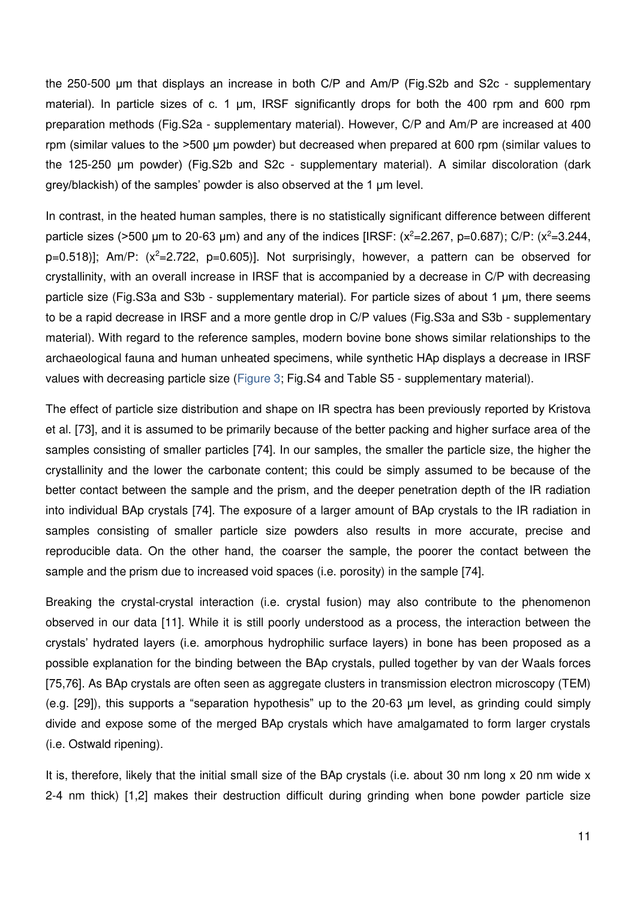the 250-500 μm that displays an increase in both C/P and Am/P (Fig.S2b and S2c - supplementary material). In particle sizes of c. 1 μm, IRSF significantly drops for both the 400 rpm and 600 rpm preparation methods (Fig.S2a - supplementary material). However, C/P and Am/P are increased at 400 rpm (similar values to the >500 μm powder) but decreased when prepared at 600 rpm (similar values to the 125-250 μm powder) (Fig.S2b and S2c - supplementary material). A similar discoloration (dark grey/blackish) of the samples' powder is also observed at the 1 μm level.

In contrast, in the heated human samples, there is no statistically significant difference between different particle sizes (>500 µm to 20-63 µm) and any of the indices [IRSF:  $(x^2=2.267, p=0.687)$ ; C/P:  $(x^2=3.244, p=0.687)$  $p=0.518$ ]; Am/P: (x<sup>2</sup>=2.722, p=0.605)]. Not surprisingly, however, a pattern can be observed for crystallinity, with an overall increase in IRSF that is accompanied by a decrease in C/P with decreasing particle size (Fig.S3a and S3b - supplementary material). For particle sizes of about 1 μm, there seems to be a rapid decrease in IRSF and a more gentle drop in C/P values (Fig.S3a and S3b - supplementary material). With regard to the reference samples, modern bovine bone shows similar relationships to the archaeological fauna and human unheated specimens, while synthetic HAp displays a decrease in IRSF values with decreasing particle size [\(Figure 3;](#page-10-0) Fig.S4 and Table S5 - supplementary material).

The effect of particle size distribution and shape on IR spectra has been previously reported by Kristova et al. [\[73\],](https://paperpile.com/c/bZhAIZ/SvCa/?noauthor=1) and it is assumed to be primarily because of the better packing and higher surface area of the samples consisting of smaller particles [\[74\].](https://paperpile.com/c/bZhAIZ/AOt2) In our samples, the smaller the particle size, the higher the crystallinity and the lower the carbonate content; this could be simply assumed to be because of the better contact between the sample and the prism, and the deeper penetration depth of the IR radiation into individual BAp crystals [\[74\].](https://paperpile.com/c/bZhAIZ/AOt2) The exposure of a larger amount of BAp crystals to the IR radiation in samples consisting of smaller particle size powders also results in more accurate, precise and reproducible data. On the other hand, the coarser the sample, the poorer the contact between the sample and the prism due to increased void spaces (i.e. porosity) in the sample [\[74\].](https://paperpile.com/c/bZhAIZ/AOt2)

Breaking the crystal-crystal interaction (i.e. crystal fusion) may also contribute to the phenomenon observed in our data [\[11\].](https://paperpile.com/c/bZhAIZ/02T6) While it is still poorly understood as a process, the interaction between the crystals' hydrated layers (i.e. amorphous hydrophilic surface layers) in bone has been proposed as a possible explanation for the binding between the BAp crystals, pulled together by van der Waals forces [\[75,76\].](https://paperpile.com/c/bZhAIZ/pOpu+iAbU) As BAp crystals are often seen as aggregate clusters in transmission electron microscopy (TEM) (e.g. [\[29\]\)](https://paperpile.com/c/bZhAIZ/l8cT), this supports a "separation hypothesis" up to the 20-63 μm level, as grinding could simply divide and expose some of the merged BAp crystals which have amalgamated to form larger crystals (i.e. Ostwald ripening).

It is, therefore, likely that the initial small size of the BAp crystals (i.e. about 30 nm long x 20 nm wide x 2-4 nm thick) [\[1,2\]](https://paperpile.com/c/bZhAIZ/oNSE+BuUf) makes their destruction difficult during grinding when bone powder particle size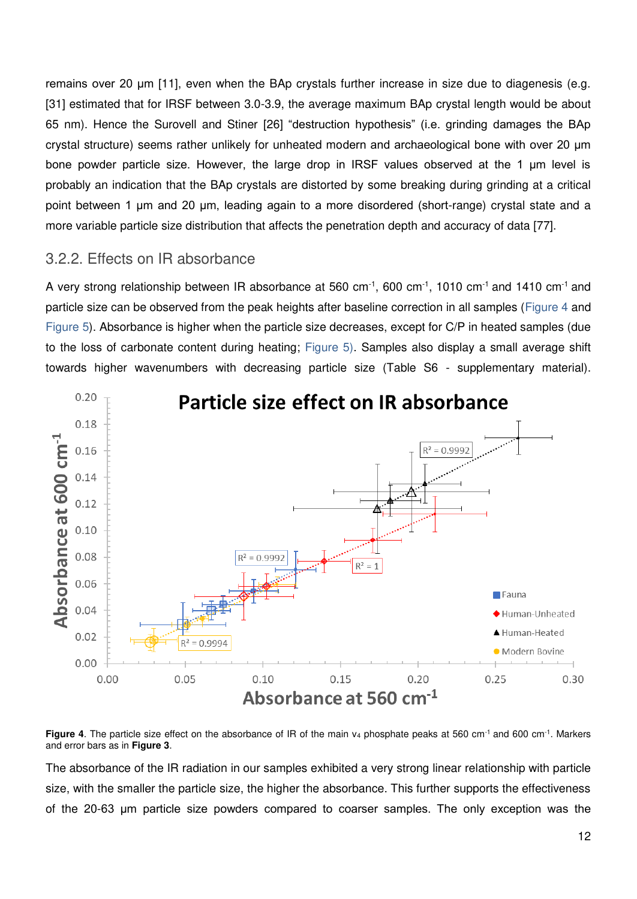remains over 20 μm [\[11\],](https://paperpile.com/c/bZhAIZ/02T6) even when the BAp crystals further increase in size due to diagenesis (e.g. [\[31\]](https://paperpile.com/c/bZhAIZ/CgtB) estimated that for IRSF between 3.0-3.9, the average maximum BAp crystal length would be about 65 nm). Hence the Surovell and Stiner [\[26\]](https://paperpile.com/c/bZhAIZ/7a1H/?noauthor=1) "destruction hypothesis" (i.e. grinding damages the BAp crystal structure) seems rather unlikely for unheated modern and archaeological bone with over 20 μm bone powder particle size. However, the large drop in IRSF values observed at the 1 μm level is probably an indication that the BAp crystals are distorted by some breaking during grinding at a critical point between 1 μm and 20 μm, leading again to a more disordered (short-range) crystal state and a more variable particle size distribution that affects the penetration depth and accuracy of data [\[77\].](https://paperpile.com/c/bZhAIZ/uzEc)

### 3.2.2. Effects on IR absorbance

A very strong relationship between IR absorbance at 560 cm-1, 600 cm-1, 1010 cm-1 and 1410 cm-1 and particle size can be observed from the peak heights after baseline correction in all samples [\(Figure 4](#page-12-0) and [Figure 5\)](#page-13-0). Absorbance is higher when the particle size decreases, except for C/P in heated samples (due to the loss of carbonate content during heating; [Figure 5\)](#page-13-0). Samples also display a small average shift towards higher wavenumbers with decreasing particle size (Table S6 - supplementary material).



<span id="page-12-0"></span>**Figure 4.** The particle size effect on the absorbance of IR of the main v<sub>4</sub> phosphate peaks at 560 cm<sup>-1</sup> and 600 cm<sup>-1</sup>. Markers and error bars as in **[Figure 3](#page-10-0)**.

The absorbance of the IR radiation in our samples exhibited a very strong linear relationship with particle size, with the smaller the particle size, the higher the absorbance. This further supports the effectiveness of the 20-63 μm particle size powders compared to coarser samples. The only exception was the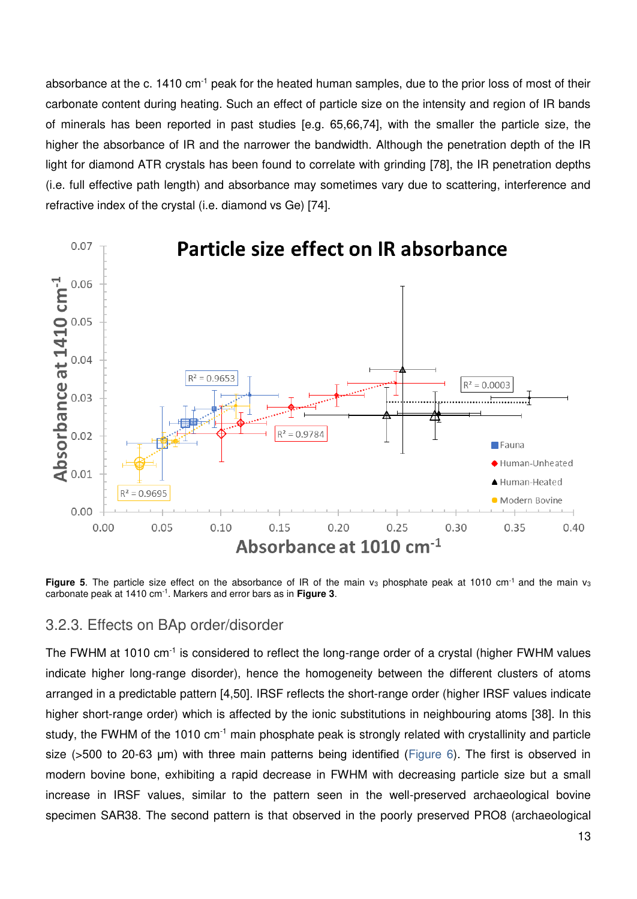absorbance at the c. 1410 cm-1 peak for the heated human samples, due to the prior loss of most of their carbonate content during heating. Such an effect of particle size on the intensity and region of IR bands of minerals has been reported in past studies [\[e.g. 65,66,74\],](https://paperpile.com/c/bZhAIZ/FoYA+wrOW+AOt2/?prefix=e.g.,,) with the smaller the particle size, the higher the absorbance of IR and the narrower the bandwidth. Although the penetration depth of the IR light for diamond ATR crystals has been found to correlate with grinding [\[78\],](https://paperpile.com/c/bZhAIZ/rHm5) the IR penetration depths (i.e. full effective path length) and absorbance may sometimes vary due to scattering, interference and refractive index of the crystal (i.e. diamond vs Ge) [\[74\].](https://paperpile.com/c/bZhAIZ/AOt2)



<span id="page-13-0"></span>**Figure 5**. The particle size effect on the absorbance of IR of the main  $v_3$  phosphate peak at 1010 cm<sup>-1</sup> and the main  $v_3$ carbonate peak at 1410 cm-1. Markers and error bars as in **[Figure 3](#page-10-0)**.

#### 3.2.3. Effects on BAp order/disorder

The FWHM at 1010 cm<sup>-1</sup> is considered to reflect the long-range order of a crystal (higher FWHM values indicate higher long-range disorder), hence the homogeneity between the different clusters of atoms arranged in a predictable pattern [\[4,50\].](https://paperpile.com/c/bZhAIZ/PSYz+Ry2E) IRSF reflects the short-range order (higher IRSF values indicate higher short-range order) which is affected by the ionic substitutions in neighbouring atoms [\[38\].](https://paperpile.com/c/bZhAIZ/uwiw) In this study, the FWHM of the 1010  $\text{cm}^{-1}$  main phosphate peak is strongly related with crystallinity and particle size (>500 to 20-63 μm) with three main patterns being identified ([Figure 6\)](#page-14-0). The first is observed in modern bovine bone, exhibiting a rapid decrease in FWHM with decreasing particle size but a small increase in IRSF values, similar to the pattern seen in the well-preserved archaeological bovine specimen SAR38. The second pattern is that observed in the poorly preserved PRO8 (archaeological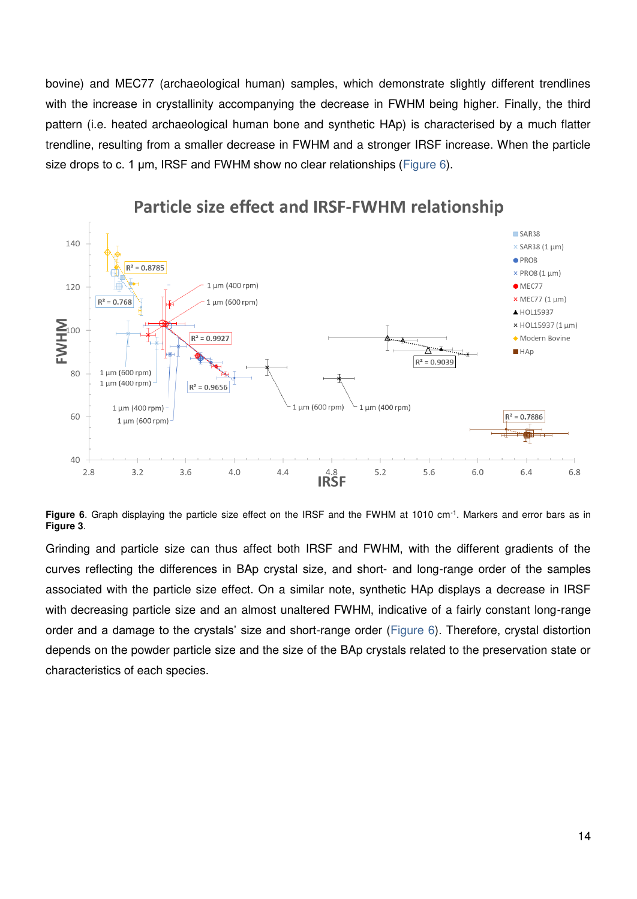bovine) and MEC77 (archaeological human) samples, which demonstrate slightly different trendlines with the increase in crystallinity accompanying the decrease in FWHM being higher. Finally, the third pattern (i.e. heated archaeological human bone and synthetic HAp) is characterised by a much flatter trendline, resulting from a smaller decrease in FWHM and a stronger IRSF increase. When the particle size drops to c. 1 μm, IRSF and FWHM show no clear relationships ([Figure 6\)](#page-14-0).



### Particle size effect and IRSF-FWHM relationship

<span id="page-14-0"></span>**Figure 6**. Graph displaying the particle size effect on the IRSF and the FWHM at 1010 cm<sup>-1</sup>. Markers and error bars as in **[Figure 3](#page-10-0)**.

Grinding and particle size can thus affect both IRSF and FWHM, with the different gradients of the curves reflecting the differences in BAp crystal size, and short- and long-range order of the samples associated with the particle size effect. On a similar note, synthetic HAp displays a decrease in IRSF with decreasing particle size and an almost unaltered FWHM, indicative of a fairly constant long-range order and a damage to the crystals' size and short-range order [\(Figure 6\)](#page-14-0). Therefore, crystal distortion depends on the powder particle size and the size of the BAp crystals related to the preservation state or characteristics of each species.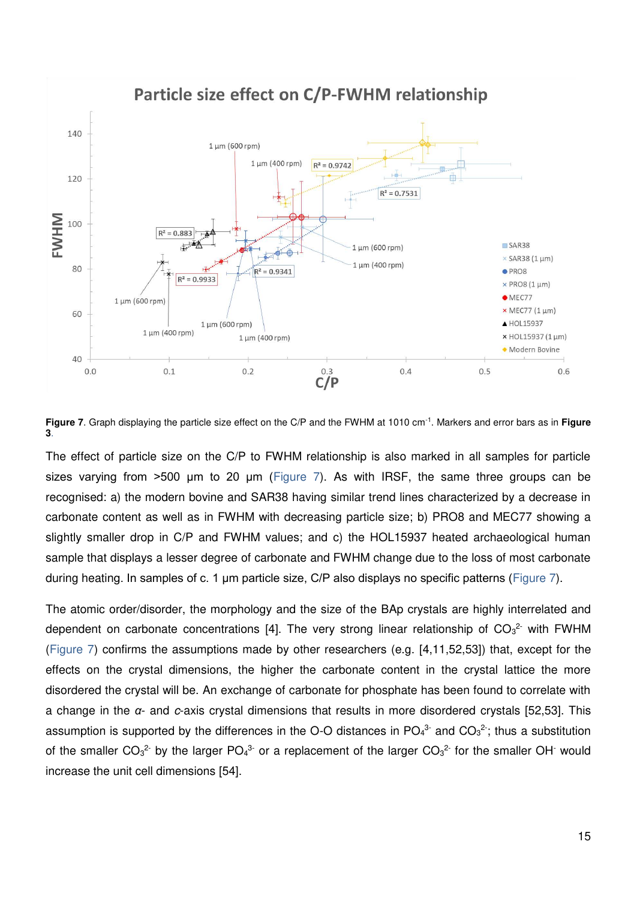

<span id="page-15-0"></span>**Figure 7**. Graph displaying the particle size effect on the C/P and the FWHM at 1010 cm-1. Markers and error bars as in **[Figure](#page-10-0)  [3](#page-10-0)**.

The effect of particle size on the C/P to FWHM relationship is also marked in all samples for particle sizes varying from >500 μm to 20 μm ([Figure 7\)](#page-15-0). As with IRSF, the same three groups can be recognised: a) the modern bovine and SAR38 having similar trend lines characterized by a decrease in carbonate content as well as in FWHM with decreasing particle size; b) PRO8 and MEC77 showing a slightly smaller drop in C/P and FWHM values; and c) the HOL15937 heated archaeological human sample that displays a lesser degree of carbonate and FWHM change due to the loss of most carbonate during heating. In samples of c. 1 μm particle size, C/P also displays no specific patterns ([Figure 7\)](#page-15-0).

The atomic order/disorder, the morphology and the size of the BAp crystals are highly interrelated and dependent on carbonate concentrations [\[4\].](https://paperpile.com/c/bZhAIZ/Ry2E) The very strong linear relationship of  $CO<sub>3</sub><sup>2</sup>$  with FWHM [\(Figure 7\)](#page-15-0) confirms the assumptions made by other researchers (e.g. [\[4,11,52,53\]\)](https://paperpile.com/c/bZhAIZ/hFyQ+od1g+02T6+Ry2E) that, except for the effects on the crystal dimensions, the higher the carbonate content in the crystal lattice the more disordered the crystal will be. An exchange of carbonate for phosphate has been found to correlate with a change in the *α*- and c-axis crystal dimensions that results in more disordered crystals [\[52,53\].](https://paperpile.com/c/bZhAIZ/hFyQ+od1g) This assumption is supported by the differences in the O-O distances in  $PO_4^3$  and  $CO_3^2$ ; thus a substitution of the smaller  $CO_3^2$  by the larger PO<sub>4</sub><sup>3</sup> or a replacement of the larger  $CO_3^2$  for the smaller OH would increase the unit cell dimensions [\[54\].](https://paperpile.com/c/bZhAIZ/UceX)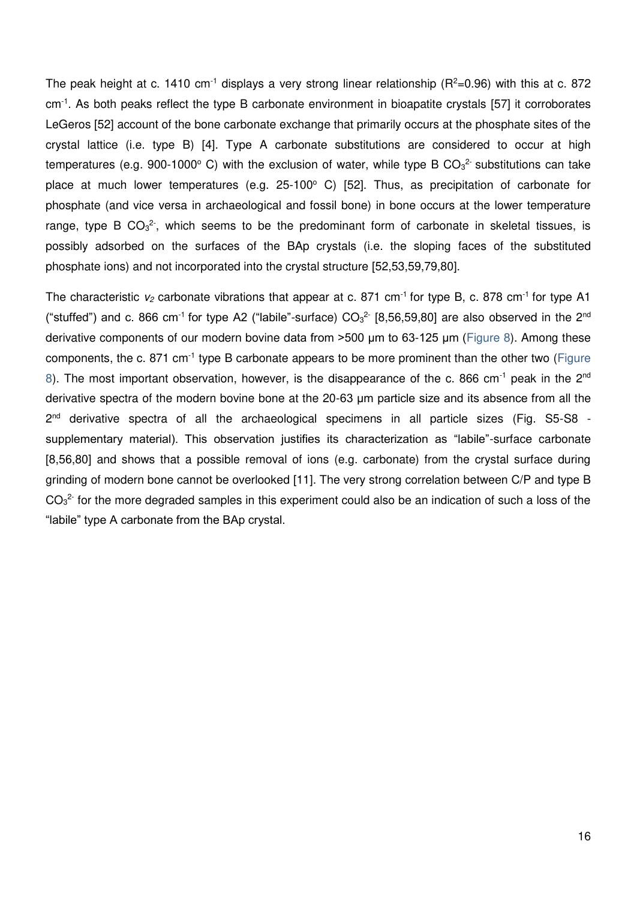The peak height at c. 1410 cm<sup>-1</sup> displays a very strong linear relationship ( $R^2$ =0.96) with this at c. 872 cm-1. As both peaks reflect the type B carbonate environment in bioapatite crystals [\[57\]](https://paperpile.com/c/bZhAIZ/qPbV) it corroborates LeGeros [\[52\]](https://paperpile.com/c/bZhAIZ/hFyQ) account of the bone carbonate exchange that primarily occurs at the phosphate sites of the crystal lattice (i.e. type B) [\[4\].](https://paperpile.com/c/bZhAIZ/Ry2E) Type A carbonate substitutions are considered to occur at high temperatures (e.g. 900-1000°C) with the exclusion of water, while type B CO<sub>3</sub><sup>2</sup> substitutions can take place at much lower temperatures (e.g. 25-100° C) [\[52\].](https://paperpile.com/c/bZhAIZ/hFyQ) Thus, as precipitation of carbonate for phosphate (and vice versa in archaeological and fossil bone) in bone occurs at the lower temperature range, type B  $CO<sub>3</sub><sup>2</sup>$ , which seems to be the predominant form of carbonate in skeletal tissues, is possibly adsorbed on the surfaces of the BAp crystals (i.e. the sloping faces of the substituted phosphate ions) and not incorporated into the crystal structure [\[52,53,59,79,80\].](https://paperpile.com/c/bZhAIZ/hFyQ+od1g+GXTi+hlE4+3ioV)

The characteristic  $v_2$  carbonate vibrations that appear at c. 871 cm<sup>-1</sup> for type B, c. 878 cm<sup>-1</sup> for type A1 ("stuffed") and c. 866 cm<sup>-1</sup> for type A2 ("labile"-surface)  $CO<sub>3</sub><sup>2</sup>$  [\[8,56,59,80\]](https://paperpile.com/c/bZhAIZ/XaAv+eMSP+GXTi+3ioV) are also observed in the 2<sup>nd</sup> derivative components of our modern bovine data from >500 μm to 63-125 μm ([Figure 8\)](#page-17-0). Among these components, the c. 871 cm<sup>-1</sup> type B carbonate appears to be more prominent than the other two (Figure [8\)](#page-17-0). The most important observation, however, is the disappearance of the c. 866 cm<sup>-1</sup> peak in the 2<sup>nd</sup> derivative spectra of the modern bovine bone at the 20-63 μm particle size and its absence from all the 2<sup>nd</sup> derivative spectra of all the archaeological specimens in all particle sizes (Fig. S5-S8 supplementary material). This observation justifies its characterization as "labile"-surface carbonate [\[8,56,80\]](https://paperpile.com/c/bZhAIZ/XaAv+3ioV+eMSP) and shows that a possible removal of ions (e.g. carbonate) from the crystal surface during grinding of modern bone cannot be overlooked [\[11\].](https://paperpile.com/c/bZhAIZ/02T6) The very strong correlation between C/P and type B  $CO<sub>3</sub><sup>2</sup>$  for the more degraded samples in this experiment could also be an indication of such a loss of the "labile" type A carbonate from the BAp crystal.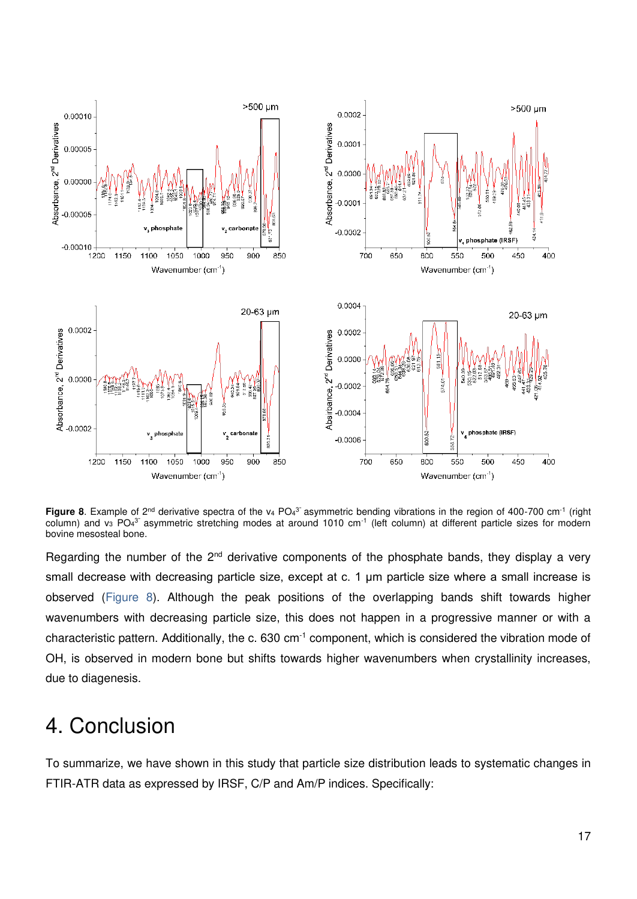

<span id="page-17-0"></span>**Figure 8**. Example of 2<sup>nd</sup> derivative spectra of the v<sub>4</sub> PO<sub>4</sub><sup>3</sup> asymmetric bending vibrations in the region of 400-700 cm<sup>-1</sup> (right column) and v<sub>3</sub> PO<sub>4</sub><sup>3</sup> asymmetric stretching modes at around 1010 cm<sup>-1</sup> (left column) at different particle sizes for modern bovine mesosteal bone.

Regarding the number of the  $2<sup>nd</sup>$  derivative components of the phosphate bands, they display a very small decrease with decreasing particle size, except at c. 1 μm particle size where a small increase is observed [\(Figure 8\)](#page-17-0). Although the peak positions of the overlapping bands shift towards higher wavenumbers with decreasing particle size, this does not happen in a progressive manner or with a characteristic pattern. Additionally, the c. 630 cm<sup>-1</sup> component, which is considered the vibration mode of OH, is observed in modern bone but shifts towards higher wavenumbers when crystallinity increases, due to diagenesis.

# 4. Conclusion

To summarize, we have shown in this study that particle size distribution leads to systematic changes in FTIR-ATR data as expressed by IRSF, C/P and Am/P indices. Specifically: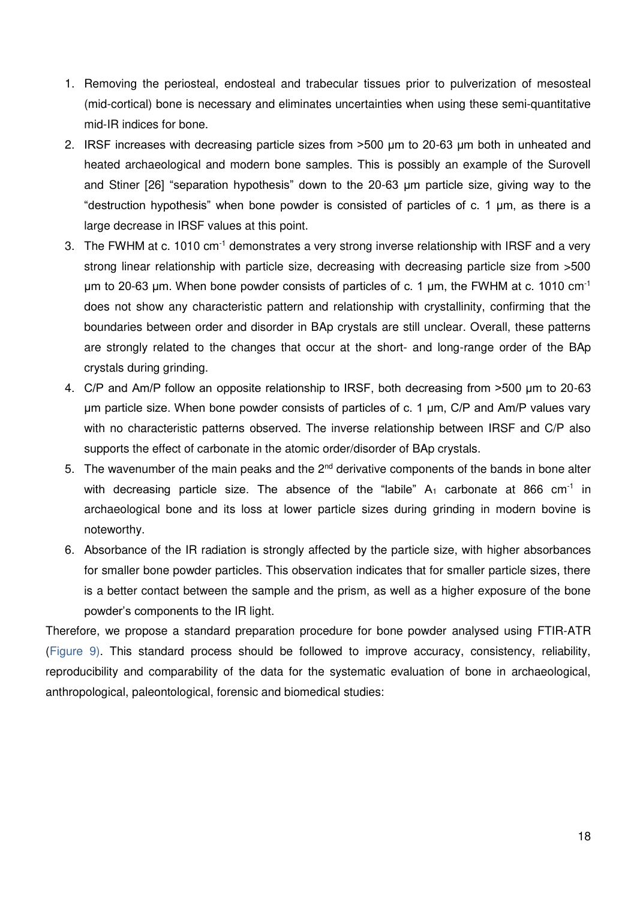- 1. Removing the periosteal, endosteal and trabecular tissues prior to pulverization of mesosteal (mid-cortical) bone is necessary and eliminates uncertainties when using these semi-quantitative mid-IR indices for bone.
- 2. IRSF increases with decreasing particle sizes from >500 μm to 20-63 μm both in unheated and heated archaeological and modern bone samples. This is possibly an example of the Surovell and Stiner [\[26\]](https://paperpile.com/c/bZhAIZ/7a1H/?noauthor=1) "separation hypothesis" down to the 20-63 μm particle size, giving way to the "destruction hypothesis" when bone powder is consisted of particles of c. 1 μm, as there is a large decrease in IRSF values at this point.
- 3. The FWHM at c. 1010 cm<sup>-1</sup> demonstrates a very strong inverse relationship with IRSF and a very strong linear relationship with particle size, decreasing with decreasing particle size from >500 μm to 20-63 μm. When bone powder consists of particles of c. 1 μm, the FWHM at c. 1010 cm<sup>-1</sup> does not show any characteristic pattern and relationship with crystallinity, confirming that the boundaries between order and disorder in BAp crystals are still unclear. Overall, these patterns are strongly related to the changes that occur at the short- and long-range order of the BAp crystals during grinding.
- 4. C/P and Am/P follow an opposite relationship to IRSF, both decreasing from >500 μm to 20-63 μm particle size. When bone powder consists of particles of c. 1 μm, C/P and Am/P values vary with no characteristic patterns observed. The inverse relationship between IRSF and C/P also supports the effect of carbonate in the atomic order/disorder of BAp crystals.
- 5. The wavenumber of the main peaks and the  $2<sup>nd</sup>$  derivative components of the bands in bone alter with decreasing particle size. The absence of the "labile"  $A_1$  carbonate at 866 cm<sup>-1</sup> in archaeological bone and its loss at lower particle sizes during grinding in modern bovine is noteworthy.
- 6. Absorbance of the IR radiation is strongly affected by the particle size, with higher absorbances for smaller bone powder particles. This observation indicates that for smaller particle sizes, there is a better contact between the sample and the prism, as well as a higher exposure of the bone powder's components to the IR light.

Therefore, we propose a standard preparation procedure for bone powder analysed using FTIR-ATR [\(Figure 9\)](#page-19-0). This standard process should be followed to improve accuracy, consistency, reliability, reproducibility and comparability of the data for the systematic evaluation of bone in archaeological, anthropological, paleontological, forensic and biomedical studies: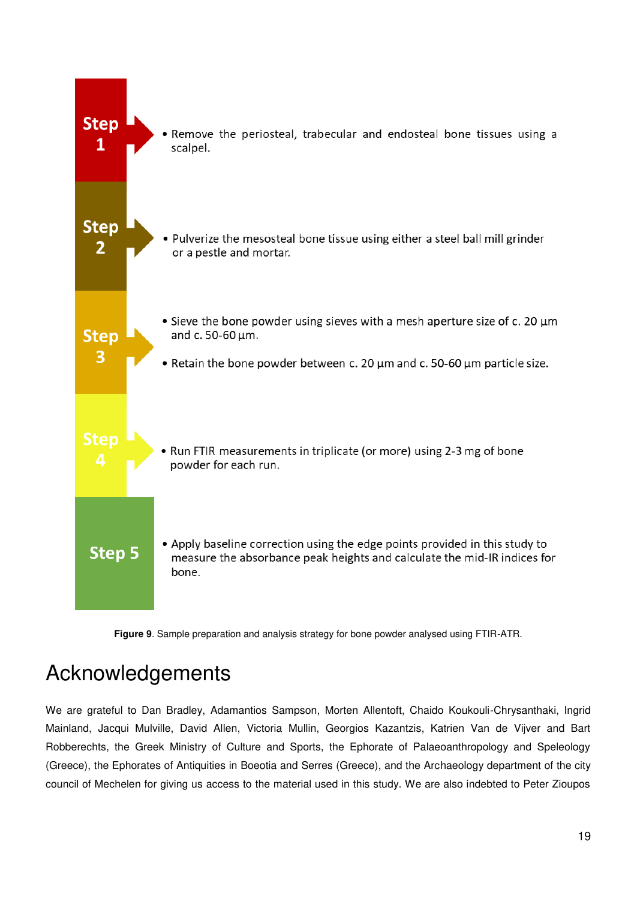

**Figure 9**. Sample preparation and analysis strategy for bone powder analysed using FTIR-ATR.

# <span id="page-19-0"></span>Acknowledgements

We are grateful to Dan Bradley, Adamantios Sampson, Morten Allentoft, Chaido Koukouli-Chrysanthaki, Ingrid Mainland, Jacqui Mulville, David Allen, Victoria Mullin, Georgios Kazantzis, Katrien Van de Vijver and Bart Robberechts, the Greek Ministry of Culture and Sports, the Ephorate of Palaeoanthropology and Speleology (Greece), the Ephorates of Antiquities in Boeotia and Serres (Greece), and the Archaeology department of the city council of Mechelen for giving us access to the material used in this study. We are also indebted to Peter Zioupos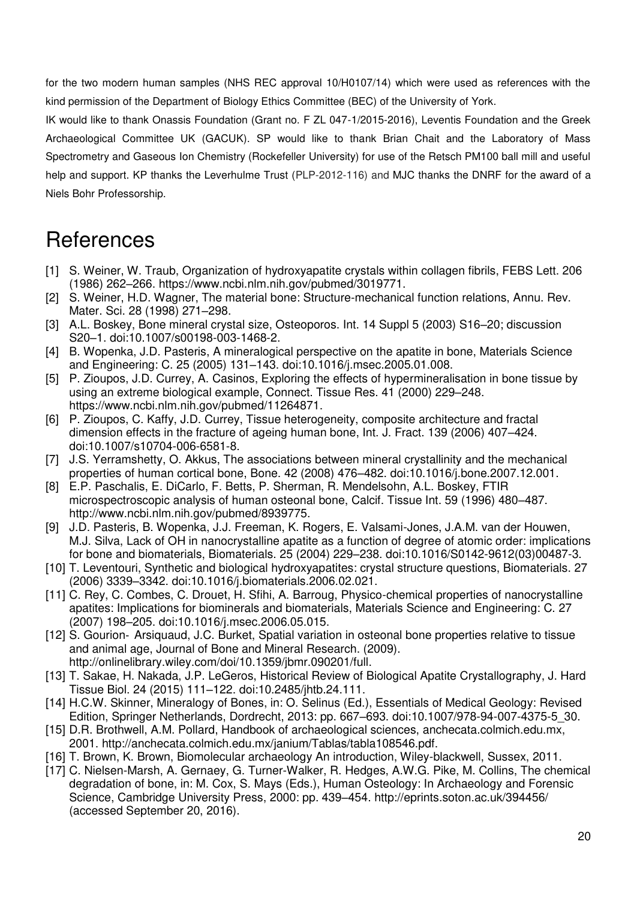for the two modern human samples (NHS REC approval 10/H0107/14) which were used as references with the kind permission of the Department of Biology Ethics Committee (BEC) of the University of York.

IK would like to thank Onassis Foundation (Grant no. F ZL 047-1/2015-2016), Leventis Foundation and the Greek Archaeological Committee UK (GACUK). SP would like to thank Brian Chait and the Laboratory of Mass Spectrometry and Gaseous Ion Chemistry (Rockefeller University) for use of the Retsch PM100 ball mill and useful help and support. KP thanks the Leverhulme Trust (PLP-2012-116) and MJC thanks the DNRF for the award of a Niels Bohr Professorship.

# References

- [1] S. Weiner, W. Traub, Organization of hydroxyapatite crystals within collagen fibrils, FEBS Lett. 206 [\(1986\) 262](http://paperpile.com/b/bZhAIZ/oNSE)–266.<https://www.ncbi.nlm.nih.gov/pubmed/3019771>[.](http://paperpile.com/b/bZhAIZ/oNSE)
- [2] S. Weiner, H.D. Wagner, The material bone: Structure-mechanical function relations, Annu. Rev. [Mater. Sci. 28 \(1998\) 271](http://paperpile.com/b/bZhAIZ/BuUf)–298.
- [3] [A.L. Boskey, Bone mineral crystal size, Osteoporos. Int. 14 Suppl 5 \(2003\) S16](http://paperpile.com/b/bZhAIZ/XJ71)–20; discussion S20–[1. doi:](http://paperpile.com/b/bZhAIZ/XJ71)[10.1007/s00198-003-1468-2.](http://dx.doi.org/10.1007/s00198-003-1468-2.)
- [4] [B. Wopenka, J.D. Pasteris, A mineralogical perspective on the apatite in bone, Materials Science](http://paperpile.com/b/bZhAIZ/Ry2E)  [and Engineering: C. 25 \(2005\) 131](http://paperpile.com/b/bZhAIZ/Ry2E)–143. doi[:10.1016/j.msec.2005.01.008.](http://dx.doi.org/10.1016/j.msec.2005.01.008.)
- [5] [P. Zioupos, J.D. Currey, A. Casinos, Exploring the effects of hypermineralisation in bone tissue by](http://paperpile.com/b/bZhAIZ/qzpZ)  [using an extreme biological example, Connect. Tissue Res. 41 \(2000\) 229](http://paperpile.com/b/bZhAIZ/qzpZ)–248. <https://www.ncbi.nlm.nih.gov/pubmed/11264871>[.](http://paperpile.com/b/bZhAIZ/qzpZ)
- [6] [P. Zioupos, C. Kaffy, J.D. Currey, Tissue heterogeneity, composite architecture and fractal](http://paperpile.com/b/bZhAIZ/ulUS)  [dimension effects in the fracture of ageing human bone, Int. J. Fract. 139 \(2006\) 407](http://paperpile.com/b/bZhAIZ/ulUS)–424. [doi:](http://paperpile.com/b/bZhAIZ/ulUS)[10.1007/s10704-006-6581-8.](http://dx.doi.org/10.1007/s10704-006-6581-8.)
- [7] J.S. Yerramshetty, O. Akkus, The associations between mineral crystallinity and the mechanical [properties of human cortical bone, Bone. 42 \(2008\) 476](http://paperpile.com/b/bZhAIZ/LVeg)–482. doi[:10.1016/j.bone.2007.12.001.](http://dx.doi.org/10.1016/j.bone.2007.12.001.)
- [8] [E.P. Paschalis, E. DiCarlo, F. Betts, P. Sherman, R. Mendelsohn, A.L. Boskey, FTIR](http://paperpile.com/b/bZhAIZ/eMSP)  [microspectroscopic analysis of human osteonal bone, Calcif. Tissue Int. 59 \(1996\) 480](http://paperpile.com/b/bZhAIZ/eMSP)–487. <http://www.ncbi.nlm.nih.gov/pubmed/8939775>[.](http://paperpile.com/b/bZhAIZ/eMSP)
- [9] [J.D. Pasteris, B. Wopenka, J.J. Freeman, K. Rogers, E. Valsami-Jones, J.A.M. van der Houwen,](http://paperpile.com/b/bZhAIZ/Lo1P)  [M.J. Silva, Lack of OH in nanocrystalline apatite as a function of degree of atomic order: implications](http://paperpile.com/b/bZhAIZ/Lo1P)  [for bone and biomaterials, Biomaterials. 25 \(2004\) 229](http://paperpile.com/b/bZhAIZ/Lo1P)–238. doi[:10.1016/S0142-9612\(03\)00487-3.](http://dx.doi.org/10.1016/S0142-9612(03)00487-3.)
- [10] T. Leventouri, Synthetic and biological hydroxyapatites: crystal structure questions, Biomaterials. 27 [\(2006\) 3339](http://paperpile.com/b/bZhAIZ/QOmT)–3342. doi[:10.1016/j.biomaterials.2006.02.021.](http://dx.doi.org/10.1016/j.biomaterials.2006.02.021.)
- [11] C. Rey, C. Combes, C. Drouet, H. Sfihi, A. Barroug, Physico-chemical properties of nanocrystalline [apatites: Implications for biominerals and biomaterials, Materials Science and Engineering: C. 27](http://paperpile.com/b/bZhAIZ/02T6)  [\(2007\) 198](http://paperpile.com/b/bZhAIZ/02T6)–205. doi[:10.1016/j.msec.2006.05.015.](http://dx.doi.org/10.1016/j.msec.2006.05.015.)
- [12] S. Gourion- Arsiquaud, J.C. Burket, Spatial variation in osteonal bone properties relative to tissue [and animal age, Journal of Bone and Mineral Research. \(2009\).](http://paperpile.com/b/bZhAIZ/NBVC)  <http://onlinelibrary.wiley.com/doi/10.1359/jbmr.090201/full>[.](http://paperpile.com/b/bZhAIZ/NBVC)
- [13] T. Sakae, H. Nakada, J.P. LeGeros, Historical Review of Biological Apatite Crystallography, J. Hard [Tissue Biol. 24 \(2015\) 111](http://paperpile.com/b/bZhAIZ/WdUQ)–122. doi[:10.2485/jhtb.24.111.](http://dx.doi.org/10.2485/jhtb.24.111.)
- [14] H.C.W. Skinner, Mineralogy of Bones, in: O. Selinus (Ed.), Essentials of Medical Geology: Revised [Edition, Springer Netherlands, Dordrecht, 2013: pp. 667](http://paperpile.com/b/bZhAIZ/nWjw)–693. doi[:10.1007/978-94-007-4375-5\\_30.](http://dx.doi.org/10.1007/978-94-007-4375-5_30.)
- [15] D.R. Brothwell, A.M. Pollard, Handbook of archaeological sciences, anchecata.colmich.edu.mx, [2001.](http://paperpile.com/b/bZhAIZ/Ll0M) <http://anchecata.colmich.edu.mx/janium/Tablas/tabla108546.pdf>[.](http://paperpile.com/b/bZhAIZ/Ll0M)
- [16] T. Brown, K. Brown, Biomolecular archaeology An introduction, Wiley-blackwell, Sussex, 2011.
- [17] [C. Nielsen-Marsh, A. Gernaey, G. Turner-Walker, R. Hedges, A.W.G. Pike, M. Collins, The chemical](http://paperpile.com/b/bZhAIZ/RspA)  [degradation of bone, in: M. Cox, S. Mays \(Eds.\), Human Osteology: In Archaeology and Forensic](http://paperpile.com/b/bZhAIZ/RspA)  [Science, Cambridge University Press, 2000: pp. 439](http://paperpile.com/b/bZhAIZ/RspA)–454.<http://eprints.soton.ac.uk/394456/> [\(accessed September 20, 2016\).](http://paperpile.com/b/bZhAIZ/RspA)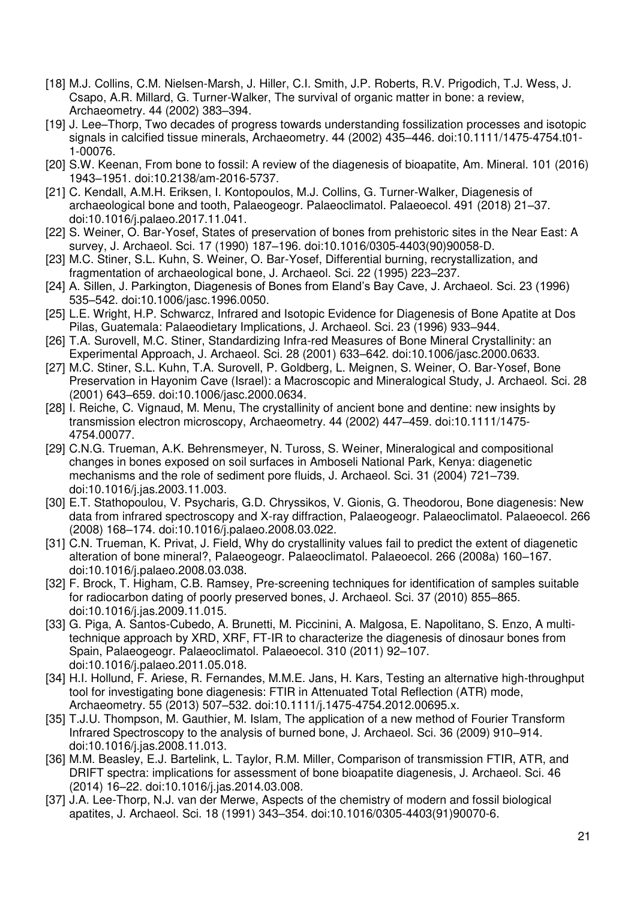- [18] [M.J. Collins, C.M. Nielsen-Marsh, J. Hiller, C.I. Smith, J.P. Roberts, R.V. Prigodich, T.J. Wess, J.](http://paperpile.com/b/bZhAIZ/v0gP)  [Csapo, A.R. Millard, G. Turner-Walker, The survival of organic matter in bone: a review,](http://paperpile.com/b/bZhAIZ/v0gP)  [Archaeometry. 44 \(2002\) 383](http://paperpile.com/b/bZhAIZ/v0gP)–394.
- [19] J. Lee–[Thorp, Two decades of progress towards understanding fossilization processes and isotopic](http://paperpile.com/b/bZhAIZ/fuJM)  [signals in calcified tissue minerals, Archaeometry. 44 \(2002\) 435](http://paperpile.com/b/bZhAIZ/fuJM)–446. doi[:10.1111/1475-4754.t01-](http://dx.doi.org/10.1111/1475-4754.t01-1-00076.) [1-00076.](http://dx.doi.org/10.1111/1475-4754.t01-1-00076.)
- [20] [S.W. Keenan, From bone to fossil: A review of the diagenesis of bioapatite, Am. Mineral. 101 \(2016\)](http://paperpile.com/b/bZhAIZ/HysB)  1943–[1951. doi:](http://paperpile.com/b/bZhAIZ/HysB)[10.2138/am-2016-5737.](http://dx.doi.org/10.2138/am-2016-5737.)
- [21] C. Kendall, A.M.H. Eriksen, I. Kontopoulos, M.J. Collins, G. Turner-Walker, Diagenesis of [archaeological bone and tooth, Palaeogeogr. Palaeoclimatol. Palaeoecol. 491 \(2018\) 21](http://paperpile.com/b/bZhAIZ/oEho)–37. [doi:](http://paperpile.com/b/bZhAIZ/oEho)[10.1016/j.palaeo.2017.11.041.](http://dx.doi.org/10.1016/j.palaeo.2017.11.041.)
- [22] S. Weiner, O. Bar-Yosef, States of preservation of bones from prehistoric sites in the Near East: A [survey, J. Archaeol. Sci. 17 \(1990\) 187](http://paperpile.com/b/bZhAIZ/hK8Q)–196. doi[:10.1016/0305-4403\(90\)90058-D.](http://dx.doi.org/10.1016/0305-4403(90)90058-D.)
- [23] M.C. Stiner, S.L. Kuhn, S. Weiner, O. Bar-Yosef, Differential burning, recrystallization, and [fragmentation of archaeological bone, J. Archaeol. Sci. 22 \(1995\) 223](http://paperpile.com/b/bZhAIZ/ktJY)–237.
- [24] [A. Sillen, J. Parkington, Diagenesis of Bones from Eland's Bay Cave, J. Archaeol. Sci. 23 \(1996\)](http://paperpile.com/b/bZhAIZ/py6B)  535–[542. doi:](http://paperpile.com/b/bZhAIZ/py6B)[10.1006/jasc.1996.0050.](http://dx.doi.org/10.1006/jasc.1996.0050.)
- [25] [L.E. Wright, H.P. Schwarcz, Infrared and Isotopic Evidence for Diagenesis of Bone Apatite at Dos](http://paperpile.com/b/bZhAIZ/BiPN)  [Pilas, Guatemala: Palaeodietary Implications, J. Archaeol. Sci. 23 \(1996\) 933](http://paperpile.com/b/bZhAIZ/BiPN)–944.
- [26] [T.A. Surovell, M.C. Stiner, Standardizing Infra-red Measures of Bone Mineral Crystallinity: an](http://paperpile.com/b/bZhAIZ/7a1H)  [Experimental Approach, J. Archaeol. Sci. 28 \(2001\) 633](http://paperpile.com/b/bZhAIZ/7a1H)–642. doi[:10.1006/jasc.2000.0633.](http://dx.doi.org/10.1006/jasc.2000.0633.)
- [27] M.C. Stiner, S.L. Kuhn, T.A. Surovell, P. Goldberg, L. Meignen, S. Weiner, O. Bar-Yosef, Bone [Preservation in Hayonim Cave \(Israel\): a Macroscopic and Mineralogical Study, J. Archaeol. Sci. 28](http://paperpile.com/b/bZhAIZ/4pYY)  [\(2001\) 643](http://paperpile.com/b/bZhAIZ/4pYY)–659. doi[:10.1006/jasc.2000.0634.](http://dx.doi.org/10.1006/jasc.2000.0634.)
- [28] I. Reiche, C. Vignaud, M. Menu, The crystallinity of ancient bone and dentine: new insights by [transmission electron microscopy, Archaeometry. 44 \(2002\) 447](http://paperpile.com/b/bZhAIZ/iRY8)–459. doi[:10.1111/1475-](http://dx.doi.org/10.1111/1475-4754.00077.) [4754.00077.](http://dx.doi.org/10.1111/1475-4754.00077.)
- [29] [C.N.G. Trueman, A.K. Behrensmeyer, N. Tuross, S. Weiner, Mineralogical and compositional](http://paperpile.com/b/bZhAIZ/l8cT)  [changes in bones exposed on soil surfaces in Amboseli National Park, Kenya: diagenetic](http://paperpile.com/b/bZhAIZ/l8cT)  [mechanisms and the role of sediment pore fluids, J. Archaeol. Sci. 31 \(2004\) 721](http://paperpile.com/b/bZhAIZ/l8cT)–739. [doi:](http://paperpile.com/b/bZhAIZ/l8cT)[10.1016/j.jas.2003.11.003.](http://dx.doi.org/10.1016/j.jas.2003.11.003.)
- [30] [E.T. Stathopoulou, V. Psycharis, G.D. Chryssikos, V. Gionis, G. Theodorou, Bone diagenesis: New](http://paperpile.com/b/bZhAIZ/51vU)  data from infrared spectroscopy and X-ray diffraction, Palaeogeogr. Palaeoclimatol. Palaeoecol. 266 [\(2008\) 168](http://paperpile.com/b/bZhAIZ/51vU)–174. doi[:10.1016/j.palaeo.2008.03.022.](http://dx.doi.org/10.1016/j.palaeo.2008.03.022.)
- [31] [C.N. Trueman, K. Privat, J. Field, Why do crystallinity values fail to predict the extent of diagenetic](http://paperpile.com/b/bZhAIZ/CgtB)  [alteration of bone mineral?, Palaeogeogr. Palaeoclimatol. Palaeoecol. 266 \(2008a\) 160](http://paperpile.com/b/bZhAIZ/CgtB)–167. [doi:](http://paperpile.com/b/bZhAIZ/CgtB)[10.1016/j.palaeo.2008.03.038.](http://dx.doi.org/10.1016/j.palaeo.2008.03.038.)
- [32] [F. Brock, T. Higham, C.B. Ramsey, Pre-screening techniques for identification of samples suitable](http://paperpile.com/b/bZhAIZ/9Bja)  [for radiocarbon dating of poorly preserved bones, J. Archaeol. Sci. 37 \(2010\) 855](http://paperpile.com/b/bZhAIZ/9Bja)–865. [doi:](http://paperpile.com/b/bZhAIZ/9Bja)[10.1016/j.jas.2009.11.015.](http://dx.doi.org/10.1016/j.jas.2009.11.015.)
- [33] [G. Piga, A. Santos-Cubedo, A. Brunetti, M. Piccinini, A. Malgosa, E. Napolitano, S. Enzo, A multi](http://paperpile.com/b/bZhAIZ/Ytvd)[technique approach by XRD, XRF, FT-IR to characterize the diagenesis of dinosaur bones from](http://paperpile.com/b/bZhAIZ/Ytvd)  [Spain, Palaeogeogr. Palaeoclimatol. Palaeoecol. 310 \(2011\) 92](http://paperpile.com/b/bZhAIZ/Ytvd)–107. [doi:](http://paperpile.com/b/bZhAIZ/Ytvd)[10.1016/j.palaeo.2011.05.018.](http://dx.doi.org/10.1016/j.palaeo.2011.05.018.)
- [34] [H.I. Hollund, F. Ariese, R. Fernandes, M.M.E. Jans, H. Kars, Testing an alternative high-throughput](http://paperpile.com/b/bZhAIZ/rjTu)  [tool for investigating bone diagenesis: FTIR in Attenuated Total Reflection \(ATR\) mode,](http://paperpile.com/b/bZhAIZ/rjTu)  [Archaeometry. 55 \(2013\) 507](http://paperpile.com/b/bZhAIZ/rjTu)–532. doi[:10.1111/j.1475-4754.2012.00695.x.](http://dx.doi.org/10.1111/j.1475-4754.2012.00695.x.)
- [35] T.J.U. Thompson, M. Gauthier, M. Islam, The application of a new method of Fourier Transform [Infrared Spectroscopy to the analysis of burned bone, J. Archaeol. Sci. 36 \(2009\) 910](http://paperpile.com/b/bZhAIZ/1QDh)–914. [doi:](http://paperpile.com/b/bZhAIZ/1QDh)[10.1016/j.jas.2008.11.013.](http://dx.doi.org/10.1016/j.jas.2008.11.013.)
- [36] M.M. Beasley, E.J. Bartelink, L. Taylor, R.M. Miller, Comparison of transmission FTIR, ATR, and [DRIFT spectra: implications for assessment of bone bioapatite diagenesis, J. Archaeol. Sci. 46](http://paperpile.com/b/bZhAIZ/vSUU)  [\(2014\) 16](http://paperpile.com/b/bZhAIZ/vSUU)–22. doi[:10.1016/j.jas.2014.03.008.](http://dx.doi.org/10.1016/j.jas.2014.03.008.)
- [37] J.A. Lee-Thorp, N.J. van der Merwe, Aspects of the chemistry of modern and fossil biological [apatites, J. Archaeol. Sci. 18 \(1991\) 343](http://paperpile.com/b/bZhAIZ/Vxef)–354. doi[:10.1016/0305-4403\(91\)90070-6.](http://dx.doi.org/10.1016/0305-4403(91)90070-6.)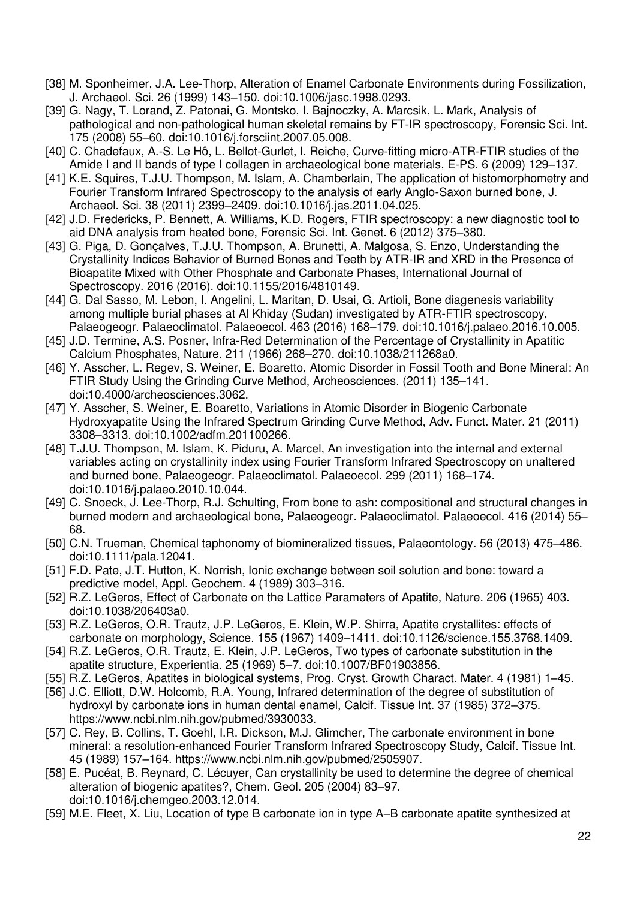- [38] [M. Sponheimer, J.A. Lee-Thorp, Alteration of Enamel Carbonate Environments during Fossilization,](http://paperpile.com/b/bZhAIZ/uwiw)  [J. Archaeol. Sci. 26 \(1999\) 143](http://paperpile.com/b/bZhAIZ/uwiw)–150. doi[:10.1006/jasc.1998.0293.](http://dx.doi.org/10.1006/jasc.1998.0293.)
- [39] [G. Nagy, T. Lorand, Z. Patonai, G. Montsko, I. Bajnoczky, A. Marcsik, L. Mark, Analysis of](http://paperpile.com/b/bZhAIZ/UqiP)  [pathological and non-pathological human skeletal remains by FT-IR spectroscopy, Forensic Sci. Int.](http://paperpile.com/b/bZhAIZ/UqiP)  [175 \(2008\) 55](http://paperpile.com/b/bZhAIZ/UqiP)–60. doi[:10.1016/j.forsciint.2007.05.008.](http://dx.doi.org/10.1016/j.forsciint.2007.05.008.)
- [40] C. Chadefaux, A.-S. Le Hô, L. Bellot-Gurlet, I. Reiche, Curve-fitting micro-ATR-FTIR studies of the [Amide I and II bands of type I collagen in archaeological bone materials, E-PS. 6 \(2009\) 129](http://paperpile.com/b/bZhAIZ/IhlJ)–137.
- [41] K.E. Squires, T.J.U. Thompson, M. Islam, A. Chamberlain, The application of histomorphometry and [Fourier Transform Infrared Spectroscopy to the analysis of early Anglo-Saxon burned bone, J.](http://paperpile.com/b/bZhAIZ/sK4V)  [Archaeol. Sci. 38 \(2011\) 2399](http://paperpile.com/b/bZhAIZ/sK4V)–2409. doi[:10.1016/j.jas.2011.04.025.](http://dx.doi.org/10.1016/j.jas.2011.04.025.)
- [42] [J.D. Fredericks, P. Bennett, A. Williams, K.D. Rogers, FTIR spectroscopy: a new diagnostic tool to](http://paperpile.com/b/bZhAIZ/zEmW)  [aid DNA analysis from heated bone, Forensic Sci. Int. Genet. 6 \(2012\) 375](http://paperpile.com/b/bZhAIZ/zEmW)–380.
- [43] [G. Piga, D. Gonçalves, T.J.U. Thompson, A. Brunetti, A. Malgosa, S. Enzo, Understanding the](http://paperpile.com/b/bZhAIZ/wwaN)  [Crystallinity Indices Behavior of Burned Bones and Teeth by ATR-IR and XRD in the Presence of](http://paperpile.com/b/bZhAIZ/wwaN)  [Bioapatite Mixed with Other Phosphate and Carbonate Phases, International Journal of](http://paperpile.com/b/bZhAIZ/wwaN)  [Spectroscopy. 2016 \(2016\). doi:](http://paperpile.com/b/bZhAIZ/wwaN)[10.1155/2016/4810149.](http://dx.doi.org/10.1155/2016/4810149.)
- [44] [G. Dal Sasso, M. Lebon, I. Angelini, L. Maritan, D. Usai, G. Artioli, Bone diagenesis variability](http://paperpile.com/b/bZhAIZ/MNLU)  [among multiple burial phases at Al Khiday \(Sudan\) investigated by ATR-FTIR spectroscopy,](http://paperpile.com/b/bZhAIZ/MNLU) [Palaeogeogr. Palaeoclimatol. Palaeoecol. 463 \(2016\) 168](http://paperpile.com/b/bZhAIZ/MNLU)–179. doi[:10.1016/j.palaeo.2016.10.005.](http://dx.doi.org/10.1016/j.palaeo.2016.10.005.)
- [45] [J.D. Termine, A.S. Posner, Infra-Red Determination of the Percentage of Crystallinity in Apatitic](http://paperpile.com/b/bZhAIZ/jMPH)  [Calcium Phosphates, Nature. 211 \(1966\) 268](http://paperpile.com/b/bZhAIZ/jMPH)–270. doi[:10.1038/211268a0.](http://dx.doi.org/10.1038/211268a0.)
- [46] Y. Asscher, L. Regev, S. Weiner, E. Boaretto, Atomic Disorder in Fossil Tooth and Bone Mineral: An [FTIR Study Using the Grinding Curve Method, Archeosciences. \(2011\) 135](http://paperpile.com/b/bZhAIZ/bGxf)–141. [doi:](http://paperpile.com/b/bZhAIZ/bGxf)[10.4000/archeosciences.3062.](http://dx.doi.org/10.4000/archeosciences.3062.)
- [47] Y. Asscher, S. Weiner, E. Boaretto, Variations in Atomic Disorder in Biogenic Carbonate [Hydroxyapatite Using the Infrared Spectrum Grinding Curve Method, Adv. Funct. Mater. 21 \(2011\)](http://paperpile.com/b/bZhAIZ/0UZw)  3308–[3313. doi:](http://paperpile.com/b/bZhAIZ/0UZw)[10.1002/adfm.201100266.](http://dx.doi.org/10.1002/adfm.201100266.)
- [48] [T.J.U. Thompson, M. Islam, K. Piduru, A. Marcel, An investigation into the internal and external](http://paperpile.com/b/bZhAIZ/qn94)  [variables acting on crystallinity index using Fourier Transform Infrared Spectroscopy on unaltered](http://paperpile.com/b/bZhAIZ/qn94)  [and burned bone, Palaeogeogr. Palaeoclimatol. Palaeoecol. 299 \(2011\) 168](http://paperpile.com/b/bZhAIZ/qn94)–174. [doi:](http://paperpile.com/b/bZhAIZ/qn94)[10.1016/j.palaeo.2010.10.044.](http://dx.doi.org/10.1016/j.palaeo.2010.10.044.)
- [49] [C. Snoeck, J. Lee-Thorp, R.J. Schulting, From bone to ash: compositional and structural changes in](http://paperpile.com/b/bZhAIZ/wQqO)  [burned modern and archaeological bone, Palaeogeogr. Palaeoclimatol. Palaeoecol. 416 \(2014\) 55](http://paperpile.com/b/bZhAIZ/wQqO)– [68.](http://paperpile.com/b/bZhAIZ/wQqO)
- [50] [C.N. Trueman, Chemical taphonomy of biomineralized tissues, Palaeontology. 56 \(2013\) 475](http://paperpile.com/b/bZhAIZ/PSYz)–486. [doi:](http://paperpile.com/b/bZhAIZ/PSYz)[10.1111/pala.12041.](http://dx.doi.org/10.1111/pala.12041.)
- [51] [F.D. Pate, J.T. Hutton, K. Norrish, Ionic exchange between soil solution and bone: toward a](http://paperpile.com/b/bZhAIZ/5opm)  [predictive model, Appl. Geochem. 4 \(1989\) 303](http://paperpile.com/b/bZhAIZ/5opm)–316.
- [52] [R.Z. LeGeros, Effect of Carbonate on the Lattice Parameters of Apatite, Nature. 206 \(1965\) 403.](http://paperpile.com/b/bZhAIZ/hFyQ)  [doi:](http://paperpile.com/b/bZhAIZ/hFyQ)[10.1038/206403a0.](http://dx.doi.org/10.1038/206403a0.)
- [53] [R.Z. LeGeros, O.R. Trautz, J.P. LeGeros, E. Klein, W.P. Shirra, Apatite crystallites: effects of](http://paperpile.com/b/bZhAIZ/od1g)  [carbonate on morphology, Science. 155 \(1967\) 1409](http://paperpile.com/b/bZhAIZ/od1g)–1411. doi[:10.1126/science.155.3768.1409.](http://dx.doi.org/10.1126/science.155.3768.1409.)
- [54] [R.Z. LeGeros, O.R. Trautz, E. Klein, J.P. LeGeros, Two types of carbonate substitution in the](http://paperpile.com/b/bZhAIZ/UceX)  [apatite structure, Experientia. 25 \(1969\) 5](http://paperpile.com/b/bZhAIZ/UceX)–7. doi[:10.1007/BF01903856.](http://dx.doi.org/10.1007/BF01903856.)
- [55] [R.Z. LeGeros, Apatites in biological systems, Prog. Cryst. Growth Charact. Mater. 4 \(1981\) 1](http://paperpile.com/b/bZhAIZ/p4Ru)–45.
- [56] [J.C. Elliott, D.W. Holcomb, R.A. Young, Infrared determination of the degree of substitution of](http://paperpile.com/b/bZhAIZ/XaAv)  [hydroxyl by carbonate ions in human dental enamel, Calcif. Tissue Int. 37 \(1985\) 372](http://paperpile.com/b/bZhAIZ/XaAv)–375. <https://www.ncbi.nlm.nih.gov/pubmed/3930033>[.](http://paperpile.com/b/bZhAIZ/XaAv)
- [57] [C. Rey, B. Collins, T. Goehl, I.R. Dickson, M.J. Glimcher, The carbonate environment in bone](http://paperpile.com/b/bZhAIZ/qPbV)  [mineral: a resolution-enhanced Fourier Transform Infrared Spectroscopy Study, Calcif. Tissue Int.](http://paperpile.com/b/bZhAIZ/qPbV)  [45 \(1989\) 157](http://paperpile.com/b/bZhAIZ/qPbV)–164.<https://www.ncbi.nlm.nih.gov/pubmed/2505907>[.](http://paperpile.com/b/bZhAIZ/qPbV)
- [58] [E. Pucéat, B. Reynard, C. Lécuyer, Can crystallinity be used to determine the degree of chemical](http://paperpile.com/b/bZhAIZ/KOo1)  [alteration of biogenic apatites?, Chem. Geol. 205 \(2004\) 83](http://paperpile.com/b/bZhAIZ/KOo1)–97. [doi:](http://paperpile.com/b/bZhAIZ/KOo1)[10.1016/j.chemgeo.2003.12.014.](http://dx.doi.org/10.1016/j.chemgeo.2003.12.014.)
- [59] [M.E. Fleet, X. Liu, Location of type B carbonate ion in type A](http://paperpile.com/b/bZhAIZ/GXTi)–B carbonate apatite synthesized at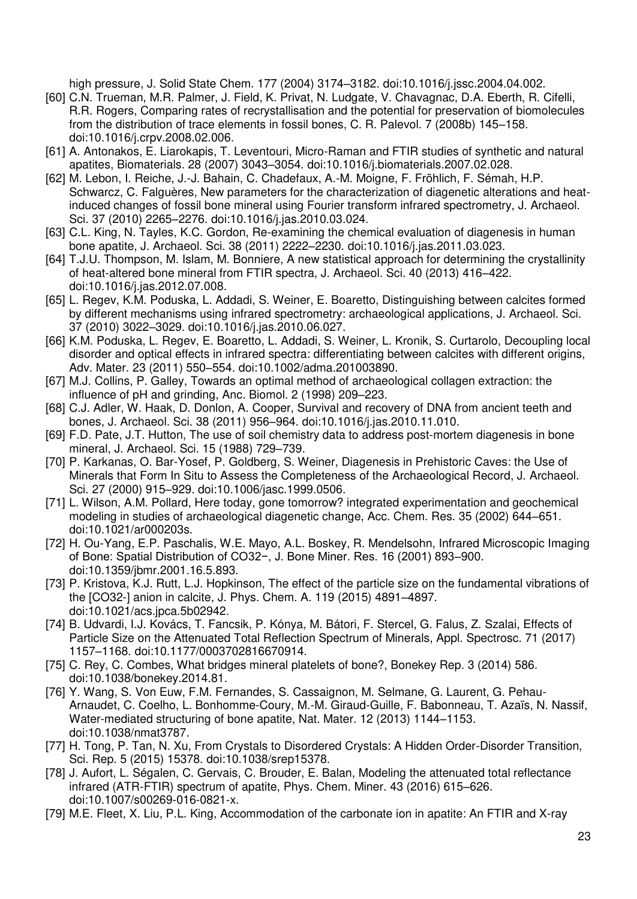[high pressure, J. Solid State Chem. 177 \(2004\) 3174](http://paperpile.com/b/bZhAIZ/GXTi)–3182. doi[:10.1016/j.jssc.2004.04.002.](http://dx.doi.org/10.1016/j.jssc.2004.04.002.) 

- [60] [C.N. Trueman, M.R. Palmer, J. Field, K. Privat, N. Ludgate, V. Chavagnac, D.A. Eberth, R. Cifelli,](http://paperpile.com/b/bZhAIZ/IqyY)  [R.R. Rogers, Comparing rates of recrystallisation and the potential for preservation of biomolecules](http://paperpile.com/b/bZhAIZ/IqyY)  [from the distribution of trace elements in fossil bones, C. R. Palevol. 7 \(2008b\) 145](http://paperpile.com/b/bZhAIZ/IqyY)–158. [doi:](http://paperpile.com/b/bZhAIZ/IqyY)[10.1016/j.crpv.2008.02.006.](http://dx.doi.org/10.1016/j.crpv.2008.02.006.)
- [61] [A. Antonakos, E. Liarokapis, T. Leventouri, Micro-Raman and FTIR studies of synthetic and natural](http://paperpile.com/b/bZhAIZ/rLej)  [apatites, Biomaterials. 28 \(2007\) 3043](http://paperpile.com/b/bZhAIZ/rLej)–3054. doi[:10.1016/j.biomaterials.2007.02.028.](http://dx.doi.org/10.1016/j.biomaterials.2007.02.028.)
- [62] [M. Lebon, I. Reiche, J.-J. Bahain, C. Chadefaux, A.-M. Moigne, F. Fröhlich, F. Sémah, H.P.](http://paperpile.com/b/bZhAIZ/Ciob)  [Schwarcz, C. Falguères, New parameters for the characterization of diagenetic alterations and heat](http://paperpile.com/b/bZhAIZ/Ciob)[induced changes of fossil bone mineral using Fourier transform infrared spectrometry, J. Archaeol.](http://paperpile.com/b/bZhAIZ/Ciob)  [Sci. 37 \(2010\) 2265](http://paperpile.com/b/bZhAIZ/Ciob)–2276. doi[:10.1016/j.jas.2010.03.024.](http://dx.doi.org/10.1016/j.jas.2010.03.024.)
- [63] [C.L. King, N. Tayles, K.C. Gordon, Re-examining the chemical evaluation of diagenesis in human](http://paperpile.com/b/bZhAIZ/pmHE)  [bone apatite, J. Archaeol. Sci. 38 \(2011\) 2222](http://paperpile.com/b/bZhAIZ/pmHE)–2230. doi[:10.1016/j.jas.2011.03.023.](http://dx.doi.org/10.1016/j.jas.2011.03.023.)
- [64] [T.J.U. Thompson, M. Islam, M. Bonniere, A new statistical approach for determining the crystallinity](http://paperpile.com/b/bZhAIZ/NxFo)  [of heat-altered bone mineral from FTIR spectra, J. Archaeol. Sci. 40 \(2013\) 416](http://paperpile.com/b/bZhAIZ/NxFo)–422. [doi:](http://paperpile.com/b/bZhAIZ/NxFo)[10.1016/j.jas.2012.07.008.](http://dx.doi.org/10.1016/j.jas.2012.07.008.)
- [65] [L. Regev, K.M. Poduska, L. Addadi, S. Weiner, E. Boaretto, Distinguishing between calcites formed](http://paperpile.com/b/bZhAIZ/FoYA)  [by different mechanisms using infrared spectrometry: archaeological applications, J. Archaeol. Sci.](http://paperpile.com/b/bZhAIZ/FoYA)  [37 \(2010\) 3022](http://paperpile.com/b/bZhAIZ/FoYA)–3029. doi[:10.1016/j.jas.2010.06.027.](http://dx.doi.org/10.1016/j.jas.2010.06.027.)
- [66] [K.M. Poduska, L. Regev, E. Boaretto, L. Addadi, S. Weiner, L. Kronik, S. Curtarolo, Decoupling local](http://paperpile.com/b/bZhAIZ/wrOW)  [disorder and optical effects in infrared spectra: differentiating between calcites with different origins,](http://paperpile.com/b/bZhAIZ/wrOW)  [Adv. Mater. 23 \(2011\) 550](http://paperpile.com/b/bZhAIZ/wrOW)–554. doi[:10.1002/adma.201003890.](http://dx.doi.org/10.1002/adma.201003890.)
- [67] [M.J. Collins, P. Galley, Towards an optimal method of archaeological collagen extraction: the](http://paperpile.com/b/bZhAIZ/PBor)  [influence of pH and grinding, Anc. Biomol. 2 \(1998\) 209](http://paperpile.com/b/bZhAIZ/PBor)–223.
- [68] C.J. Adler, W. Haak, D. Donlon, A. Cooper, Survival and recovery of DNA from ancient teeth and [bones, J. Archaeol. Sci. 38 \(2011\) 956](http://paperpile.com/b/bZhAIZ/AxJx)–964. doi[:10.1016/j.jas.2010.11.010.](http://dx.doi.org/10.1016/j.jas.2010.11.010.)
- [69] [F.D. Pate, J.T. Hutton, The use of soil chemistry data to address post-mortem diagenesis in bone](http://paperpile.com/b/bZhAIZ/nF3M)  [mineral, J. Archaeol. Sci. 15 \(1988\) 729](http://paperpile.com/b/bZhAIZ/nF3M)–739.
- [70] P. Karkanas, O. Bar-Yosef, P. Goldberg, S. Weiner, Diagenesis in Prehistoric Caves: the Use of [Minerals that Form In Situ to Assess the Completeness of the Archaeological Record, J. Archaeol.](http://paperpile.com/b/bZhAIZ/qWbl)  [Sci. 27 \(2000\) 915](http://paperpile.com/b/bZhAIZ/qWbl)–929. doi[:10.1006/jasc.1999.0506.](http://dx.doi.org/10.1006/jasc.1999.0506.)
- [71] [L. Wilson, A.M. Pollard, Here today, gone tomorrow? integrated experimentation and geochemical](http://paperpile.com/b/bZhAIZ/MsGz)  [modeling in studies of archaeological diagenetic change, Acc. Chem. Res. 35 \(2002\) 644](http://paperpile.com/b/bZhAIZ/MsGz)–651. [doi:](http://paperpile.com/b/bZhAIZ/MsGz)[10.1021/ar000203s.](http://dx.doi.org/10.1021/ar000203s.)
- [72] [H. Ou-Yang, E.P. Paschalis, W.E. Mayo, A.L. Boskey, R. Mendelsohn, Infrared Microscopic Imaging](http://paperpile.com/b/bZhAIZ/ETt2)  [of Bone: Spatial Distribution of CO32−, J. Bone Miner. Res. 16 \(2001\) 893–](http://paperpile.com/b/bZhAIZ/ETt2)900. [doi:](http://paperpile.com/b/bZhAIZ/ETt2)[10.1359/jbmr.2001.16.5.893.](http://dx.doi.org/10.1359/jbmr.2001.16.5.893.)
- [73] [P. Kristova, K.J. Rutt, L.J. Hopkinson, The effect of the particle size on the fundamental vibrations of](http://paperpile.com/b/bZhAIZ/SvCa)  [the \[CO32-\] anion in calcite, J. Phys. Chem. A. 119 \(2015\) 4891](http://paperpile.com/b/bZhAIZ/SvCa)–4897. [doi:](http://paperpile.com/b/bZhAIZ/SvCa)[10.1021/acs.jpca.5b02942.](http://dx.doi.org/10.1021/acs.jpca.5b02942.)
- [74] [B. Udvardi, I.J. Kovács, T. Fancsik, P. Kónya, M. Bátori, F. Stercel, G. Falus, Z. Szalai, Effects of](http://paperpile.com/b/bZhAIZ/AOt2)  [Particle Size on the Attenuated Total Reflection Spectrum of Minerals, Appl. Spectrosc. 71 \(2017\)](http://paperpile.com/b/bZhAIZ/AOt2)  1157–[1168. doi:](http://paperpile.com/b/bZhAIZ/AOt2)[10.1177/0003702816670914.](http://dx.doi.org/10.1177/0003702816670914.)
- [75] [C. Rey, C. Combes, What bridges mineral platelets of bone?, Bonekey Rep. 3 \(2014\) 586.](http://paperpile.com/b/bZhAIZ/pOpu)  [doi:](http://paperpile.com/b/bZhAIZ/pOpu)[10.1038/bonekey.2014.81.](http://dx.doi.org/10.1038/bonekey.2014.81.)
- [76] [Y. Wang, S. Von Euw, F.M. Fernandes, S. Cassaignon, M. Selmane, G. Laurent, G. Pehau-](http://paperpile.com/b/bZhAIZ/iAbU)[Arnaudet, C. Coelho, L. Bonhomme-Coury, M.-M. Giraud-Guille, F. Babonneau, T. Azaïs, N. Nassif,](http://paperpile.com/b/bZhAIZ/iAbU)  [Water-mediated structuring of bone apatite, Nat. Mater. 12 \(2013\) 1144](http://paperpile.com/b/bZhAIZ/iAbU)–1153. [doi:](http://paperpile.com/b/bZhAIZ/iAbU)[10.1038/nmat3787.](http://dx.doi.org/10.1038/nmat3787.)
- [77] [H. Tong, P. Tan, N. Xu, From Crystals to Disordered Crystals: A Hidden Order-Disorder Transition,](http://paperpile.com/b/bZhAIZ/uzEc)  [Sci. Rep. 5 \(2015\) 15378. doi:](http://paperpile.com/b/bZhAIZ/uzEc)[10.1038/srep15378.](http://dx.doi.org/10.1038/srep15378.)
- [78] J. Aufort, L. Ségalen, C. Gervais, C. Brouder, E. Balan, Modeling the attenuated total reflectance [infrared \(ATR-FTIR\) spectrum of apatite, Phys. Chem. Miner. 43 \(2016\) 615](http://paperpile.com/b/bZhAIZ/rHm5)–626. [doi:](http://paperpile.com/b/bZhAIZ/rHm5)[10.1007/s00269-016-0821-x.](http://dx.doi.org/10.1007/s00269-016-0821-x.)
- [79] M.E. Fleet, X. Liu, P.L. King, Accommodation of the carbonate ion in apatite: An FTIR and X-ray